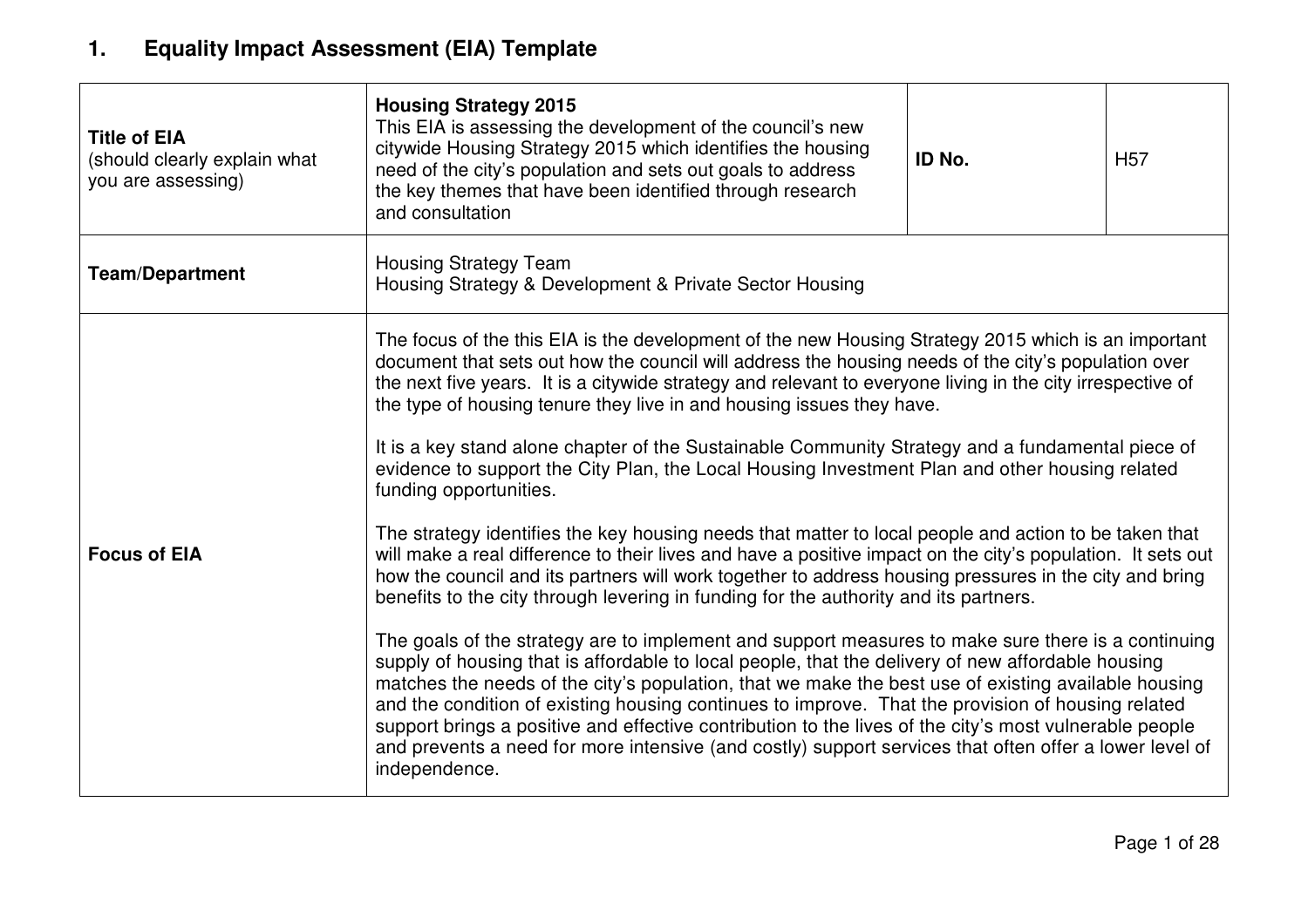### **1. Equality Impact Assessment (EIA) Template**

| <b>Title of EIA</b><br>(should clearly explain what<br>you are assessing) | <b>Housing Strategy 2015</b><br>This EIA is assessing the development of the council's new<br>citywide Housing Strategy 2015 which identifies the housing<br>need of the city's population and sets out goals to address<br>the key themes that have been identified through research<br>and consultation                                                                                                                                                                                                                                                                                                                                                                                                                                                                                                                                                                                                                                                                                                                                                                                                                                                                                                                                                                                                                                                                                                                                                                                                                                                                                                                                                                                                               | ID No. | H <sub>57</sub> |  |
|---------------------------------------------------------------------------|-------------------------------------------------------------------------------------------------------------------------------------------------------------------------------------------------------------------------------------------------------------------------------------------------------------------------------------------------------------------------------------------------------------------------------------------------------------------------------------------------------------------------------------------------------------------------------------------------------------------------------------------------------------------------------------------------------------------------------------------------------------------------------------------------------------------------------------------------------------------------------------------------------------------------------------------------------------------------------------------------------------------------------------------------------------------------------------------------------------------------------------------------------------------------------------------------------------------------------------------------------------------------------------------------------------------------------------------------------------------------------------------------------------------------------------------------------------------------------------------------------------------------------------------------------------------------------------------------------------------------------------------------------------------------------------------------------------------------|--------|-----------------|--|
| <b>Team/Department</b>                                                    | <b>Housing Strategy Team</b><br>Housing Strategy & Development & Private Sector Housing                                                                                                                                                                                                                                                                                                                                                                                                                                                                                                                                                                                                                                                                                                                                                                                                                                                                                                                                                                                                                                                                                                                                                                                                                                                                                                                                                                                                                                                                                                                                                                                                                                 |        |                 |  |
| <b>Focus of EIA</b>                                                       | The focus of the this EIA is the development of the new Housing Strategy 2015 which is an important<br>document that sets out how the council will address the housing needs of the city's population over<br>the next five years. It is a citywide strategy and relevant to everyone living in the city irrespective of<br>the type of housing tenure they live in and housing issues they have.<br>It is a key stand alone chapter of the Sustainable Community Strategy and a fundamental piece of<br>evidence to support the City Plan, the Local Housing Investment Plan and other housing related<br>funding opportunities.<br>The strategy identifies the key housing needs that matter to local people and action to be taken that<br>will make a real difference to their lives and have a positive impact on the city's population. It sets out<br>how the council and its partners will work together to address housing pressures in the city and bring<br>benefits to the city through levering in funding for the authority and its partners.<br>The goals of the strategy are to implement and support measures to make sure there is a continuing<br>supply of housing that is affordable to local people, that the delivery of new affordable housing<br>matches the needs of the city's population, that we make the best use of existing available housing<br>and the condition of existing housing continues to improve. That the provision of housing related<br>support brings a positive and effective contribution to the lives of the city's most vulnerable people<br>and prevents a need for more intensive (and costly) support services that often offer a lower level of<br>independence. |        |                 |  |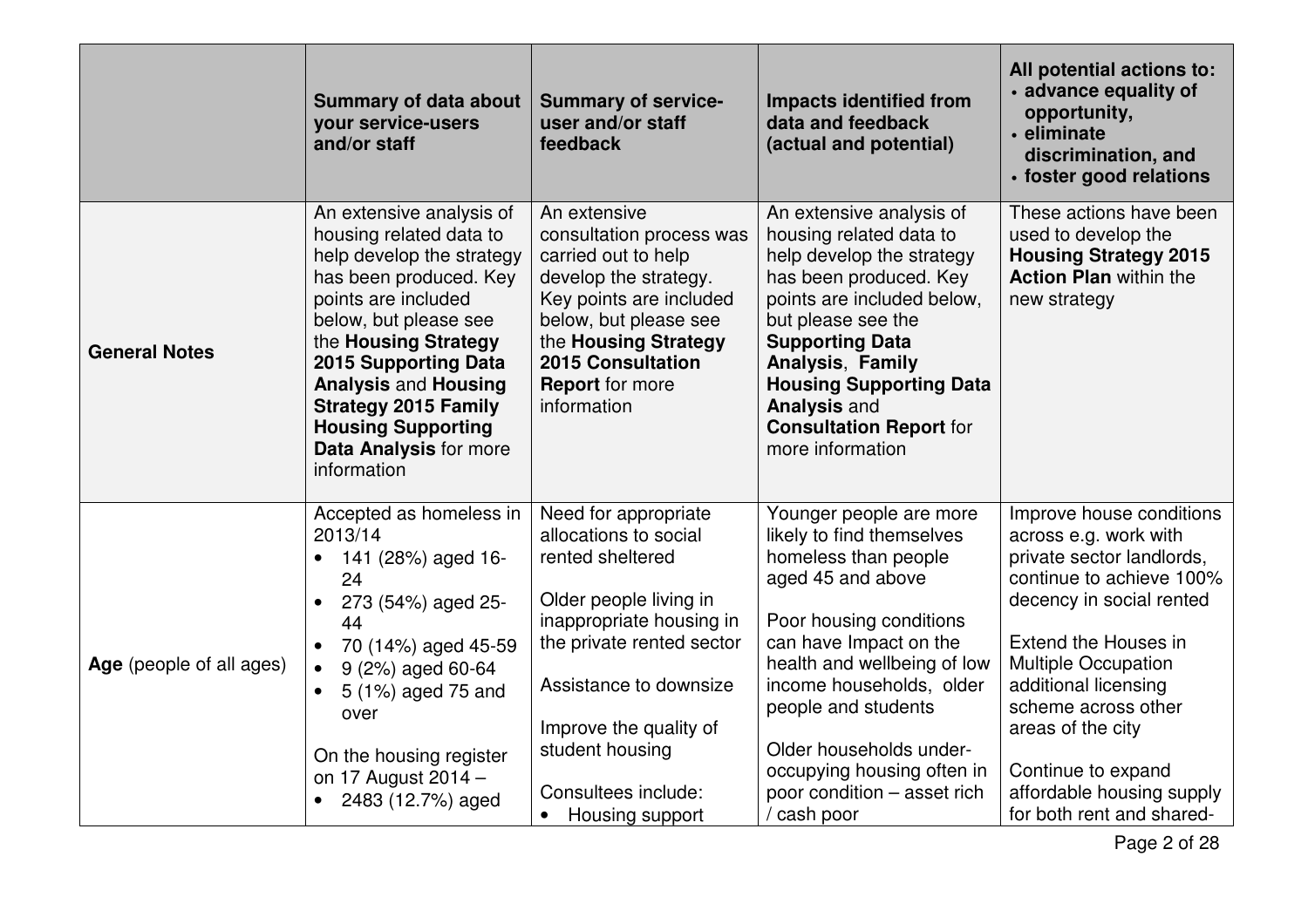|                          | <b>Summary of data about</b><br>your service-users<br>and/or staff                                                                                                                                                                                                                                                                                           | <b>Summary of service-</b><br>user and/or staff<br>feedback                                                                                                                                                                                                                        | <b>Impacts identified from</b><br>data and feedback<br>(actual and potential)                                                                                                                                                                                                                                                                   | All potential actions to:<br>· advance equality of<br>opportunity,<br>· eliminate<br>discrimination, and<br>· foster good relations                                                                                                                                                                                                              |
|--------------------------|--------------------------------------------------------------------------------------------------------------------------------------------------------------------------------------------------------------------------------------------------------------------------------------------------------------------------------------------------------------|------------------------------------------------------------------------------------------------------------------------------------------------------------------------------------------------------------------------------------------------------------------------------------|-------------------------------------------------------------------------------------------------------------------------------------------------------------------------------------------------------------------------------------------------------------------------------------------------------------------------------------------------|--------------------------------------------------------------------------------------------------------------------------------------------------------------------------------------------------------------------------------------------------------------------------------------------------------------------------------------------------|
| <b>General Notes</b>     | An extensive analysis of<br>housing related data to<br>help develop the strategy<br>has been produced. Key<br>points are included<br>below, but please see<br>the Housing Strategy<br><b>2015 Supporting Data</b><br><b>Analysis and Housing</b><br><b>Strategy 2015 Family</b><br><b>Housing Supporting</b><br><b>Data Analysis for more</b><br>information | An extensive<br>consultation process was<br>carried out to help<br>develop the strategy.<br>Key points are included<br>below, but please see<br>the Housing Strategy<br><b>2015 Consultation</b><br><b>Report</b> for more<br>information                                          | An extensive analysis of<br>housing related data to<br>help develop the strategy<br>has been produced. Key<br>points are included below,<br>but please see the<br><b>Supporting Data</b><br>Analysis, Family<br><b>Housing Supporting Data</b><br><b>Analysis and</b><br><b>Consultation Report for</b><br>more information                     | These actions have been<br>used to develop the<br><b>Housing Strategy 2015</b><br><b>Action Plan within the</b><br>new strategy                                                                                                                                                                                                                  |
| Age (people of all ages) | Accepted as homeless in<br>2013/14<br>141 (28%) aged 16-<br>24<br>273 (54%) aged 25-<br>44<br>70 (14%) aged 45-59<br>$\bullet$<br>9 (2%) aged 60-64<br>5 (1%) aged 75 and<br>over<br>On the housing register<br>on 17 August 2014 -<br>2483 (12.7%) aged                                                                                                     | Need for appropriate<br>allocations to social<br>rented sheltered<br>Older people living in<br>inappropriate housing in<br>the private rented sector<br>Assistance to downsize<br>Improve the quality of<br>student housing<br>Consultees include:<br>Housing support<br>$\bullet$ | Younger people are more<br>likely to find themselves<br>homeless than people<br>aged 45 and above<br>Poor housing conditions<br>can have Impact on the<br>health and wellbeing of low<br>income households, older<br>people and students<br>Older households under-<br>occupying housing often in<br>poor condition - asset rich<br>/ cash poor | Improve house conditions<br>across e.g. work with<br>private sector landlords,<br>continue to achieve 100%<br>decency in social rented<br>Extend the Houses in<br><b>Multiple Occupation</b><br>additional licensing<br>scheme across other<br>areas of the city<br>Continue to expand<br>affordable housing supply<br>for both rent and shared- |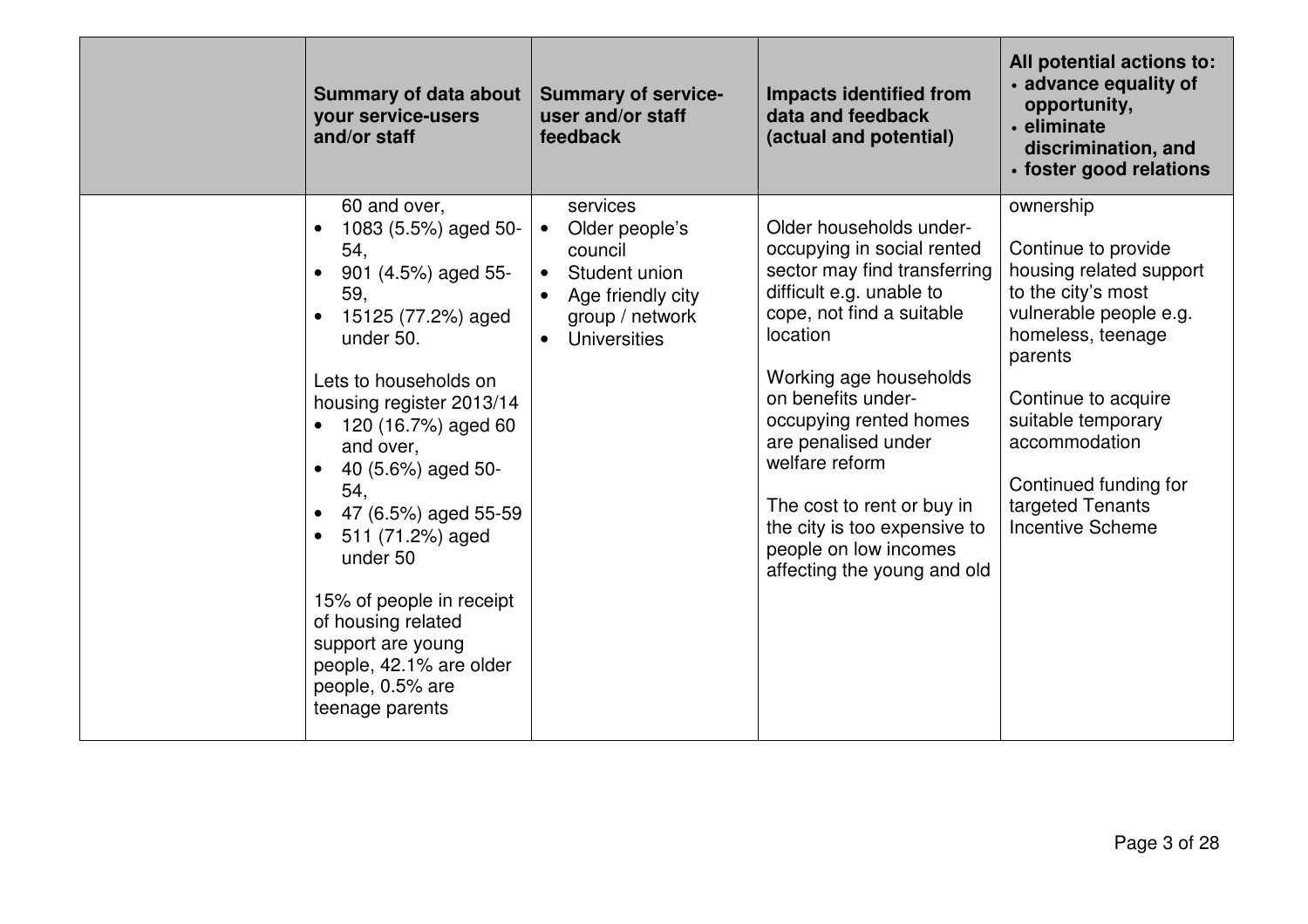| <b>Summary of data about</b><br>your service-users<br>and/or staff                                                                                                                                                                                                                                                                                                                                                                                                                      | <b>Summary of service-</b><br>user and/or staff<br>feedback                                                                                           | <b>Impacts identified from</b><br>data and feedback<br>(actual and potential)                                                                                                                                                                                                                                                                                                                       | All potential actions to:<br>· advance equality of<br>opportunity,<br>• eliminate<br>discrimination, and<br>· foster good relations                                                                                                                                               |
|-----------------------------------------------------------------------------------------------------------------------------------------------------------------------------------------------------------------------------------------------------------------------------------------------------------------------------------------------------------------------------------------------------------------------------------------------------------------------------------------|-------------------------------------------------------------------------------------------------------------------------------------------------------|-----------------------------------------------------------------------------------------------------------------------------------------------------------------------------------------------------------------------------------------------------------------------------------------------------------------------------------------------------------------------------------------------------|-----------------------------------------------------------------------------------------------------------------------------------------------------------------------------------------------------------------------------------------------------------------------------------|
| 60 and over,<br>1083 (5.5%) aged 50-<br>$\bullet$<br>54,<br>901 (4.5%) aged 55-<br>59,<br>15125 (77.2%) aged<br>$\bullet$<br>under 50.<br>Lets to households on<br>housing register 2013/14<br>120 (16.7%) aged 60<br>and over,<br>40 (5.6%) aged 50-<br>54,<br>47 (6.5%) aged 55-59<br>$\bullet$<br>511 (71.2%) aged<br>$\bullet$<br>under 50<br>15% of people in receipt<br>of housing related<br>support are young<br>people, 42.1% are older<br>people, 0.5% are<br>teenage parents | services<br>Older people's<br>$\bullet$<br>council<br>Student union<br>$\bullet$<br>Age friendly city<br>$\bullet$<br>group / network<br>Universities | Older households under-<br>occupying in social rented<br>sector may find transferring<br>difficult e.g. unable to<br>cope, not find a suitable<br>location<br>Working age households<br>on benefits under-<br>occupying rented homes<br>are penalised under<br>welfare reform<br>The cost to rent or buy in<br>the city is too expensive to<br>people on low incomes<br>affecting the young and old | ownership<br>Continue to provide<br>housing related support<br>to the city's most<br>vulnerable people e.g.<br>homeless, teenage<br>parents<br>Continue to acquire<br>suitable temporary<br>accommodation<br>Continued funding for<br>targeted Tenants<br><b>Incentive Scheme</b> |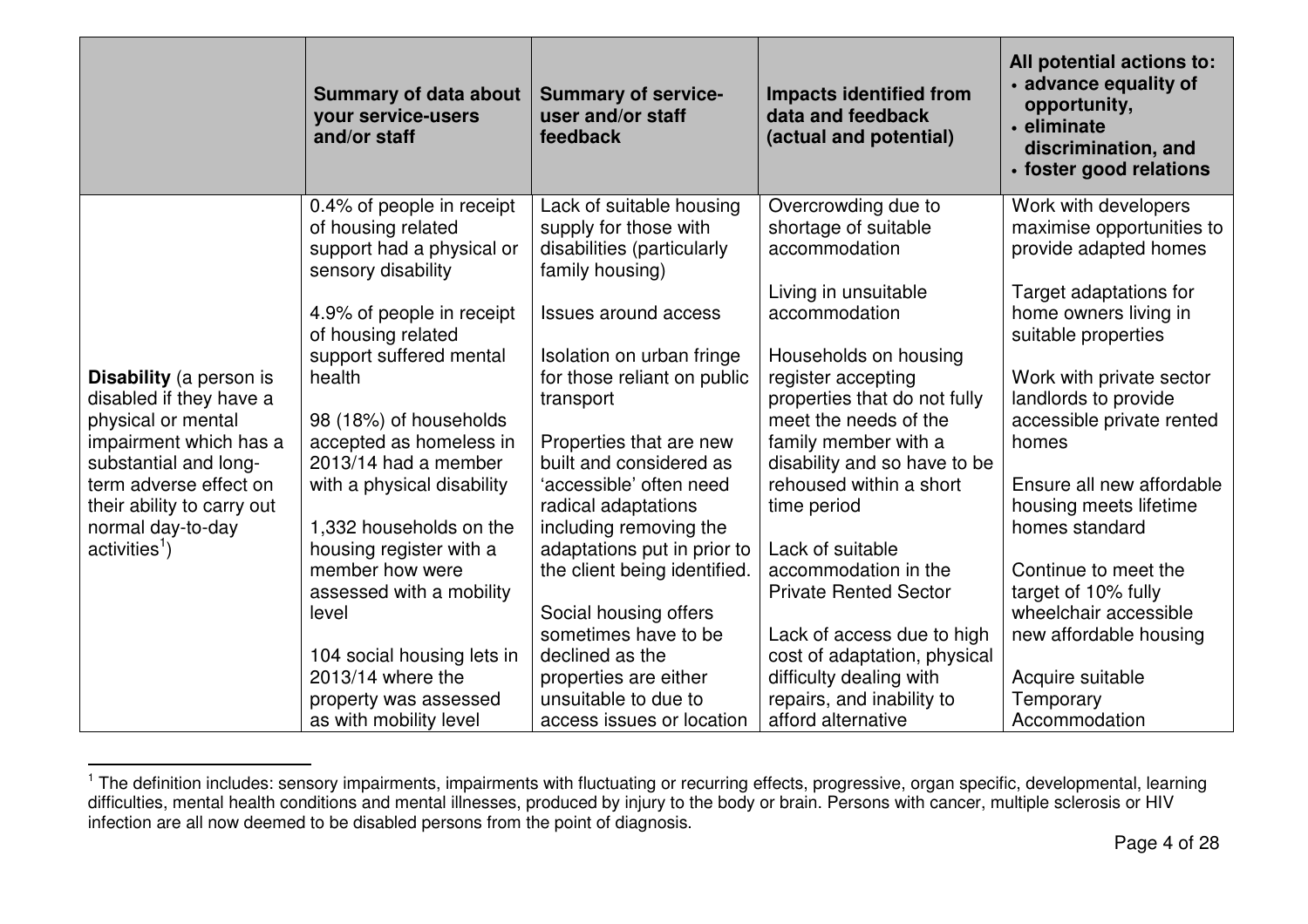|                                                 | <b>Summary of data about</b><br>your service-users<br>and/or staff | <b>Summary of service-</b><br>user and/or staff<br>feedback | <b>Impacts identified from</b><br>data and feedback<br>(actual and potential) | All potential actions to:<br>· advance equality of<br>opportunity,<br>• eliminate<br>discrimination, and<br>· foster good relations |
|-------------------------------------------------|--------------------------------------------------------------------|-------------------------------------------------------------|-------------------------------------------------------------------------------|-------------------------------------------------------------------------------------------------------------------------------------|
|                                                 | 0.4% of people in receipt                                          | Lack of suitable housing                                    | Overcrowding due to                                                           | Work with developers                                                                                                                |
|                                                 | of housing related                                                 | supply for those with                                       | shortage of suitable                                                          | maximise opportunities to                                                                                                           |
|                                                 | support had a physical or<br>sensory disability                    | disabilities (particularly<br>family housing)               | accommodation                                                                 | provide adapted homes                                                                                                               |
|                                                 |                                                                    |                                                             | Living in unsuitable                                                          | Target adaptations for                                                                                                              |
|                                                 | 4.9% of people in receipt                                          | <b>Issues around access</b>                                 | accommodation                                                                 | home owners living in                                                                                                               |
|                                                 | of housing related                                                 |                                                             |                                                                               | suitable properties                                                                                                                 |
|                                                 | support suffered mental                                            | Isolation on urban fringe                                   | Households on housing                                                         |                                                                                                                                     |
| <b>Disability</b> (a person is                  | health                                                             | for those reliant on public                                 | register accepting                                                            | Work with private sector                                                                                                            |
| disabled if they have a                         |                                                                    | transport                                                   | properties that do not fully                                                  | landlords to provide                                                                                                                |
| physical or mental                              | 98 (18%) of households                                             | Properties that are new                                     | meet the needs of the<br>family member with a                                 | accessible private rented<br>homes                                                                                                  |
| impairment which has a<br>substantial and long- | accepted as homeless in<br>2013/14 had a member                    | built and considered as                                     | disability and so have to be                                                  |                                                                                                                                     |
| term adverse effect on                          | with a physical disability                                         | 'accessible' often need                                     | rehoused within a short                                                       | Ensure all new affordable                                                                                                           |
| their ability to carry out                      |                                                                    | radical adaptations                                         | time period                                                                   | housing meets lifetime                                                                                                              |
| normal day-to-day                               | 1,332 households on the                                            | including removing the                                      |                                                                               | homes standard                                                                                                                      |
| activities <sup>1</sup> )                       | housing register with a                                            | adaptations put in prior to                                 | Lack of suitable                                                              |                                                                                                                                     |
|                                                 | member how were                                                    | the client being identified.                                | accommodation in the                                                          | Continue to meet the                                                                                                                |
|                                                 | assessed with a mobility                                           |                                                             | <b>Private Rented Sector</b>                                                  | target of 10% fully                                                                                                                 |
|                                                 | level                                                              | Social housing offers                                       |                                                                               | wheelchair accessible                                                                                                               |
|                                                 |                                                                    | sometimes have to be<br>declined as the                     | Lack of access due to high                                                    | new affordable housing                                                                                                              |
|                                                 | 104 social housing lets in<br>2013/14 where the                    | properties are either                                       | cost of adaptation, physical<br>difficulty dealing with                       | Acquire suitable                                                                                                                    |
|                                                 | property was assessed                                              | unsuitable to due to                                        | repairs, and inability to                                                     | Temporary                                                                                                                           |
|                                                 | as with mobility level                                             | access issues or location                                   | afford alternative                                                            | Accommodation                                                                                                                       |

<sup>&</sup>lt;sup>1</sup> The definition includes: sensory impairments, impairments with fluctuating or recurring effects, progressive, organ specific, developmental, learning<br>difficulties, mental health conditions and mental illnesses, produce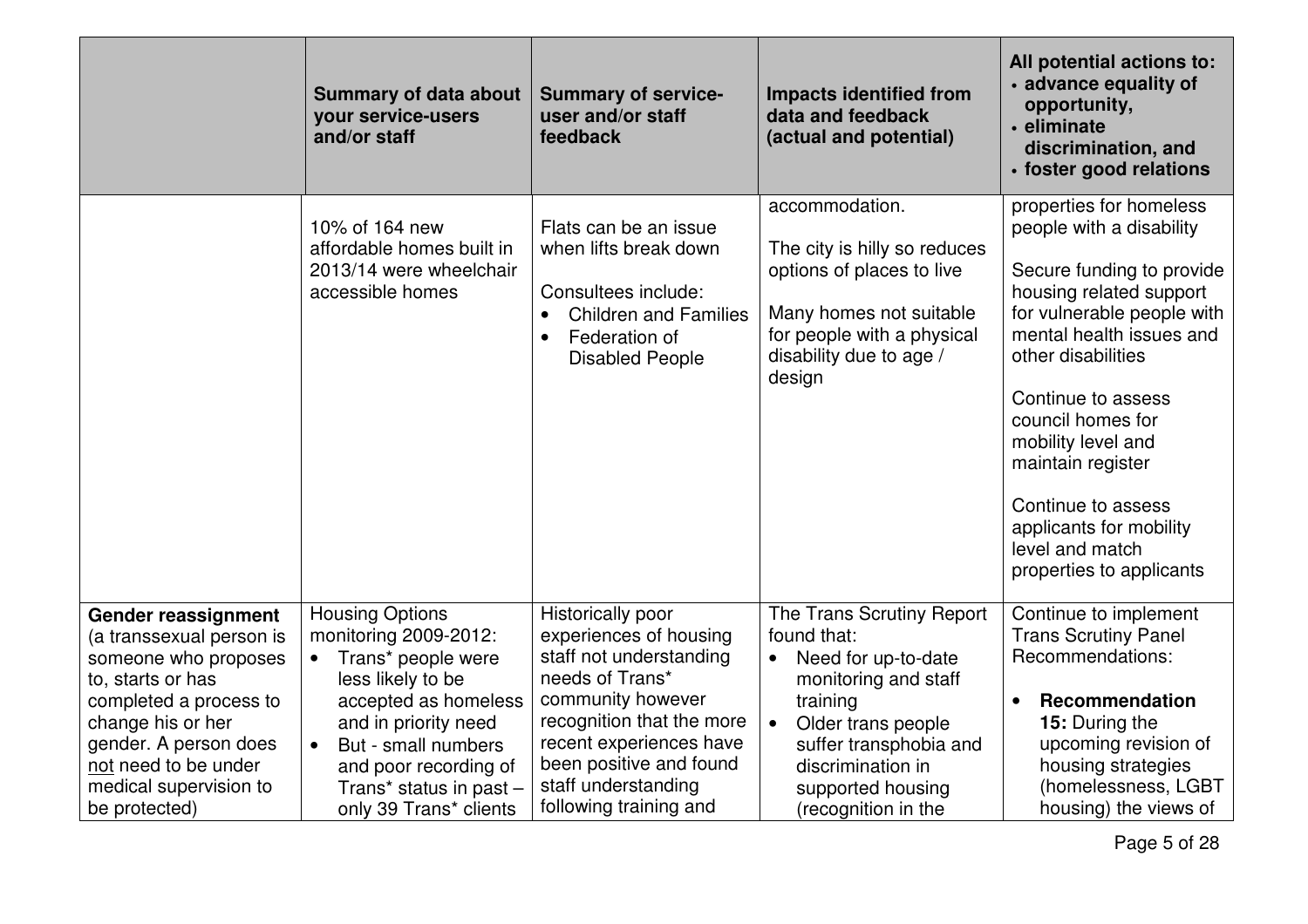|                                                                                                                                                                                                                                                | <b>Summary of data about</b><br>your service-users<br>and/or staff                                                                                                                                                                              | <b>Summary of service-</b><br>user and/or staff<br>feedback                                                                                                                                                                                        | <b>Impacts identified from</b><br>data and feedback<br>(actual and potential)                                                                                                                                                     | All potential actions to:<br>• advance equality of<br>opportunity,<br>• eliminate<br>discrimination, and<br>· foster good relations                                                                                                                                                                                                                                               |
|------------------------------------------------------------------------------------------------------------------------------------------------------------------------------------------------------------------------------------------------|-------------------------------------------------------------------------------------------------------------------------------------------------------------------------------------------------------------------------------------------------|----------------------------------------------------------------------------------------------------------------------------------------------------------------------------------------------------------------------------------------------------|-----------------------------------------------------------------------------------------------------------------------------------------------------------------------------------------------------------------------------------|-----------------------------------------------------------------------------------------------------------------------------------------------------------------------------------------------------------------------------------------------------------------------------------------------------------------------------------------------------------------------------------|
|                                                                                                                                                                                                                                                | 10% of 164 new<br>affordable homes built in<br>2013/14 were wheelchair<br>accessible homes                                                                                                                                                      | Flats can be an issue<br>when lifts break down<br>Consultees include:<br><b>Children and Families</b><br>$\bullet$<br>Federation of<br>$\bullet$<br><b>Disabled People</b>                                                                         | accommodation.<br>The city is hilly so reduces<br>options of places to live<br>Many homes not suitable<br>for people with a physical<br>disability due to age /<br>design                                                         | properties for homeless<br>people with a disability<br>Secure funding to provide<br>housing related support<br>for vulnerable people with<br>mental health issues and<br>other disabilities<br>Continue to assess<br>council homes for<br>mobility level and<br>maintain register<br>Continue to assess<br>applicants for mobility<br>level and match<br>properties to applicants |
| <b>Gender reassignment</b><br>(a transsexual person is<br>someone who proposes<br>to, starts or has<br>completed a process to<br>change his or her<br>gender. A person does<br>not need to be under<br>medical supervision to<br>be protected) | <b>Housing Options</b><br>monitoring 2009-2012:<br>Trans* people were<br>less likely to be<br>accepted as homeless<br>and in priority need<br>But - small numbers<br>and poor recording of<br>Trans* status in past -<br>only 39 Trans* clients | Historically poor<br>experiences of housing<br>staff not understanding<br>needs of Trans*<br>community however<br>recognition that the more<br>recent experiences have<br>been positive and found<br>staff understanding<br>following training and | The Trans Scrutiny Report<br>found that:<br>Need for up-to-date<br>monitoring and staff<br>training<br>Older trans people<br>$\bullet$<br>suffer transphobia and<br>discrimination in<br>supported housing<br>(recognition in the | Continue to implement<br><b>Trans Scrutiny Panel</b><br>Recommendations:<br><b>Recommendation</b><br>15: During the<br>upcoming revision of<br>housing strategies<br>(homelessness, LGBT<br>housing) the views of                                                                                                                                                                 |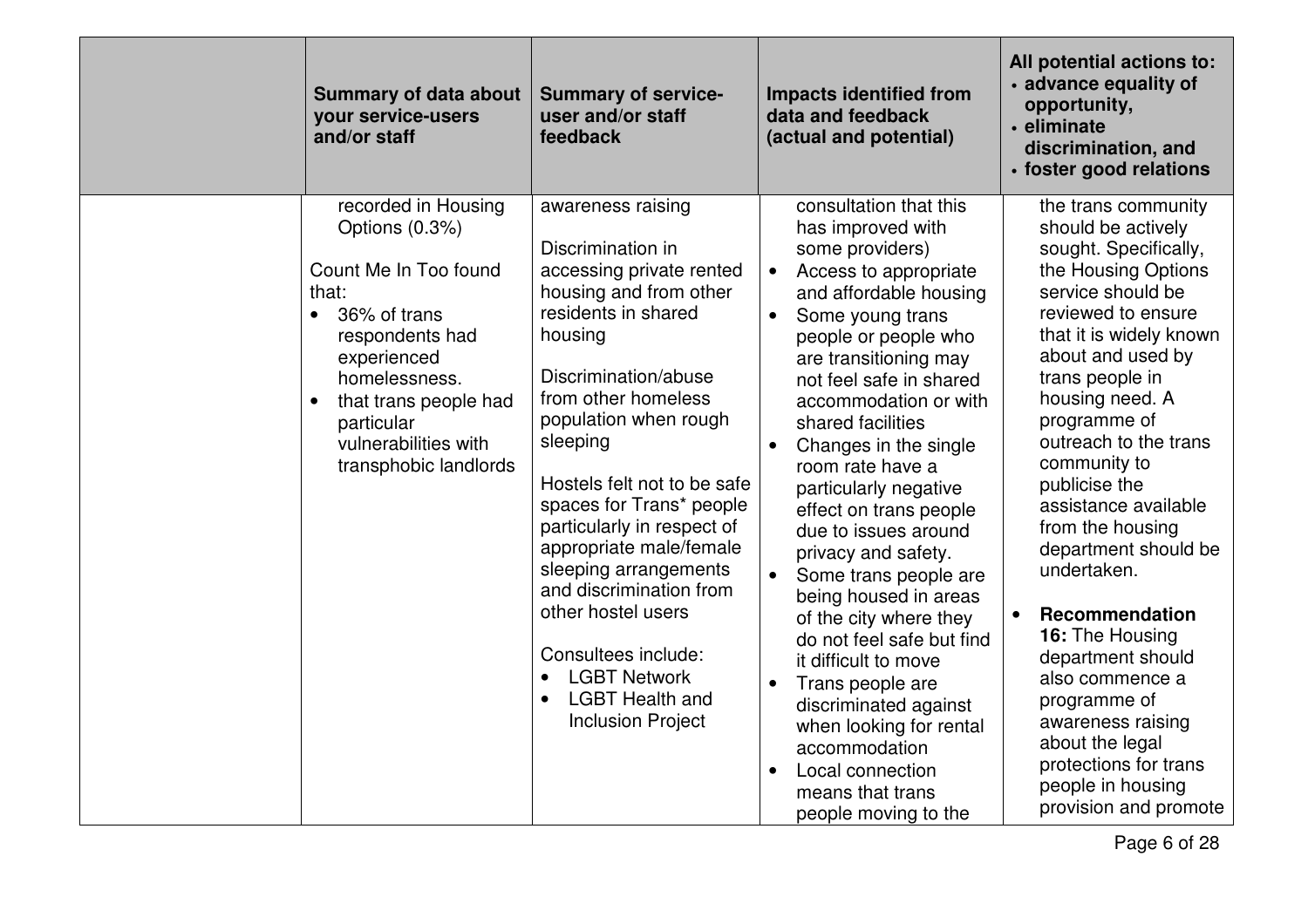| <b>Summary of data about</b><br>your service-users<br>and/or staff                                                                                                                                                                                           | <b>Summary of service-</b><br>user and/or staff<br>feedback                                                                                                                                                                                                                                                                                                                                                                                                                                                          | <b>Impacts identified from</b><br>data and feedback<br>(actual and potential)                                                                                                                                                                                                                                                                                                                                                                                                                                                                                                                                                                                                                                                                                | All potential actions to:<br>· advance equality of<br>opportunity,<br>· eliminate<br>discrimination, and<br>· foster good relations                                                                                                                                                                                                                                                                                                                                                                                                                                                                 |
|--------------------------------------------------------------------------------------------------------------------------------------------------------------------------------------------------------------------------------------------------------------|----------------------------------------------------------------------------------------------------------------------------------------------------------------------------------------------------------------------------------------------------------------------------------------------------------------------------------------------------------------------------------------------------------------------------------------------------------------------------------------------------------------------|--------------------------------------------------------------------------------------------------------------------------------------------------------------------------------------------------------------------------------------------------------------------------------------------------------------------------------------------------------------------------------------------------------------------------------------------------------------------------------------------------------------------------------------------------------------------------------------------------------------------------------------------------------------------------------------------------------------------------------------------------------------|-----------------------------------------------------------------------------------------------------------------------------------------------------------------------------------------------------------------------------------------------------------------------------------------------------------------------------------------------------------------------------------------------------------------------------------------------------------------------------------------------------------------------------------------------------------------------------------------------------|
| recorded in Housing<br>Options (0.3%)<br>Count Me In Too found<br>that:<br>36% of trans<br>$\bullet$<br>respondents had<br>experienced<br>homelessness.<br>that trans people had<br>$\bullet$<br>particular<br>vulnerabilities with<br>transphobic landlords | awareness raising<br>Discrimination in<br>accessing private rented<br>housing and from other<br>residents in shared<br>housing<br>Discrimination/abuse<br>from other homeless<br>population when rough<br>sleeping<br>Hostels felt not to be safe<br>spaces for Trans* people<br>particularly in respect of<br>appropriate male/female<br>sleeping arrangements<br>and discrimination from<br>other hostel users<br>Consultees include:<br><b>LGBT Network</b><br><b>LGBT Health and</b><br><b>Inclusion Project</b> | consultation that this<br>has improved with<br>some providers)<br>Access to appropriate<br>$\bullet$<br>and affordable housing<br>Some young trans<br>$\bullet$<br>people or people who<br>are transitioning may<br>not feel safe in shared<br>accommodation or with<br>shared facilities<br>Changes in the single<br>room rate have a<br>particularly negative<br>effect on trans people<br>due to issues around<br>privacy and safety.<br>Some trans people are<br>being housed in areas<br>of the city where they<br>do not feel safe but find<br>it difficult to move<br>Trans people are<br>$\bullet$<br>discriminated against<br>when looking for rental<br>accommodation<br>Local connection<br>$\bullet$<br>means that trans<br>people moving to the | the trans community<br>should be actively<br>sought. Specifically,<br>the Housing Options<br>service should be<br>reviewed to ensure<br>that it is widely known<br>about and used by<br>trans people in<br>housing need. A<br>programme of<br>outreach to the trans<br>community to<br>publicise the<br>assistance available<br>from the housing<br>department should be<br>undertaken.<br>Recommendation<br>16: The Housing<br>department should<br>also commence a<br>programme of<br>awareness raising<br>about the legal<br>protections for trans<br>people in housing<br>provision and promote |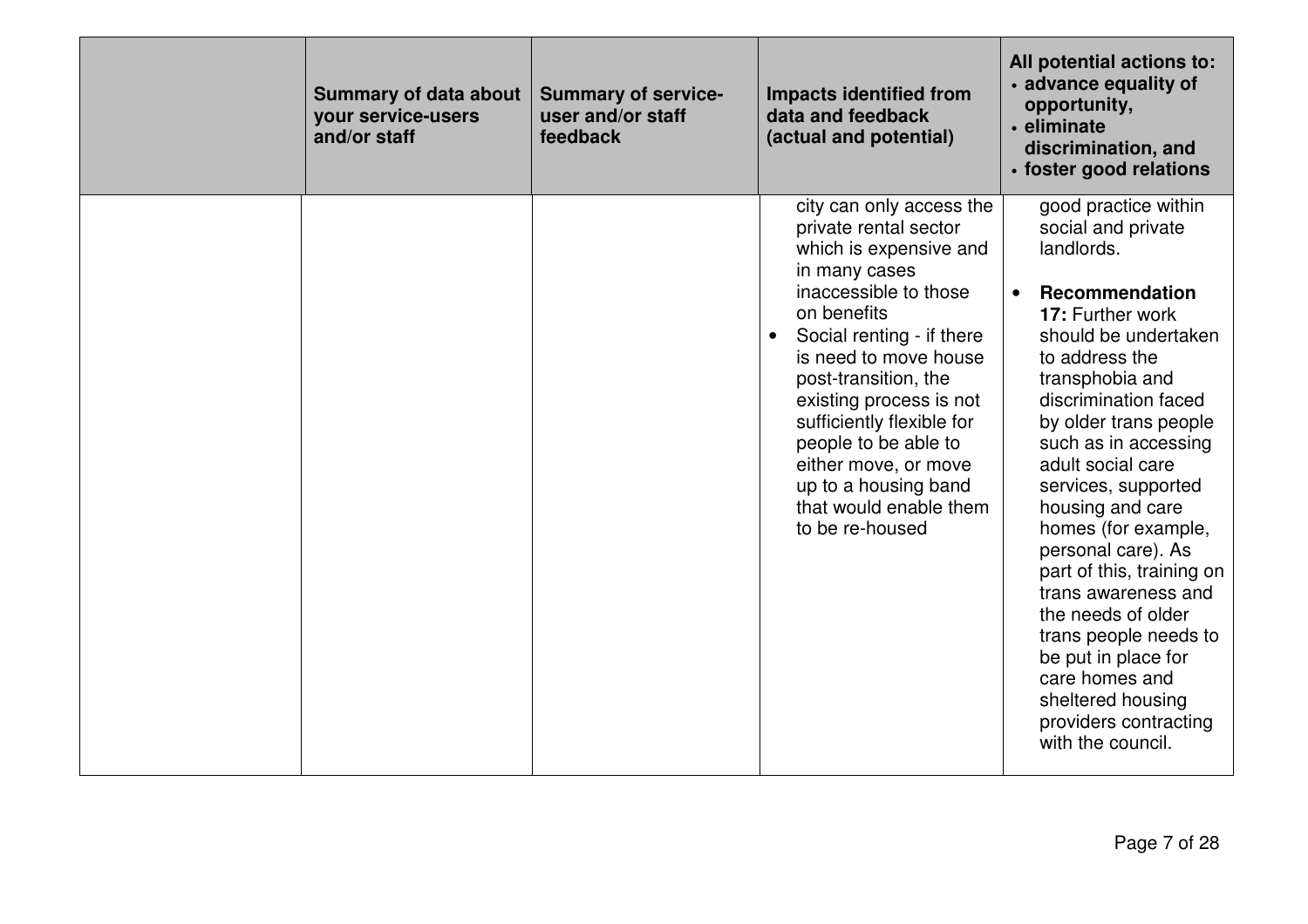| <b>Summary of data about</b><br>your service-users<br>and/or staff | <b>Summary of service-</b><br>user and/or staff<br>feedback | <b>Impacts identified from</b><br>data and feedback<br>(actual and potential)                                                                                                                                                                                                                                                                                                                   | All potential actions to:<br>• advance equality of<br>opportunity,<br>· eliminate<br>discrimination, and<br>· foster good relations                                                                                                                                                                                                                                                                                                                                                                                                                                     |
|--------------------------------------------------------------------|-------------------------------------------------------------|-------------------------------------------------------------------------------------------------------------------------------------------------------------------------------------------------------------------------------------------------------------------------------------------------------------------------------------------------------------------------------------------------|-------------------------------------------------------------------------------------------------------------------------------------------------------------------------------------------------------------------------------------------------------------------------------------------------------------------------------------------------------------------------------------------------------------------------------------------------------------------------------------------------------------------------------------------------------------------------|
|                                                                    |                                                             | city can only access the<br>private rental sector<br>which is expensive and<br>in many cases<br>inaccessible to those<br>on benefits<br>Social renting - if there<br>is need to move house<br>post-transition, the<br>existing process is not<br>sufficiently flexible for<br>people to be able to<br>either move, or move<br>up to a housing band<br>that would enable them<br>to be re-housed | good practice within<br>social and private<br>landlords.<br><b>Recommendation</b><br>17: Further work<br>should be undertaken<br>to address the<br>transphobia and<br>discrimination faced<br>by older trans people<br>such as in accessing<br>adult social care<br>services, supported<br>housing and care<br>homes (for example,<br>personal care). As<br>part of this, training on<br>trans awareness and<br>the needs of older<br>trans people needs to<br>be put in place for<br>care homes and<br>sheltered housing<br>providers contracting<br>with the council. |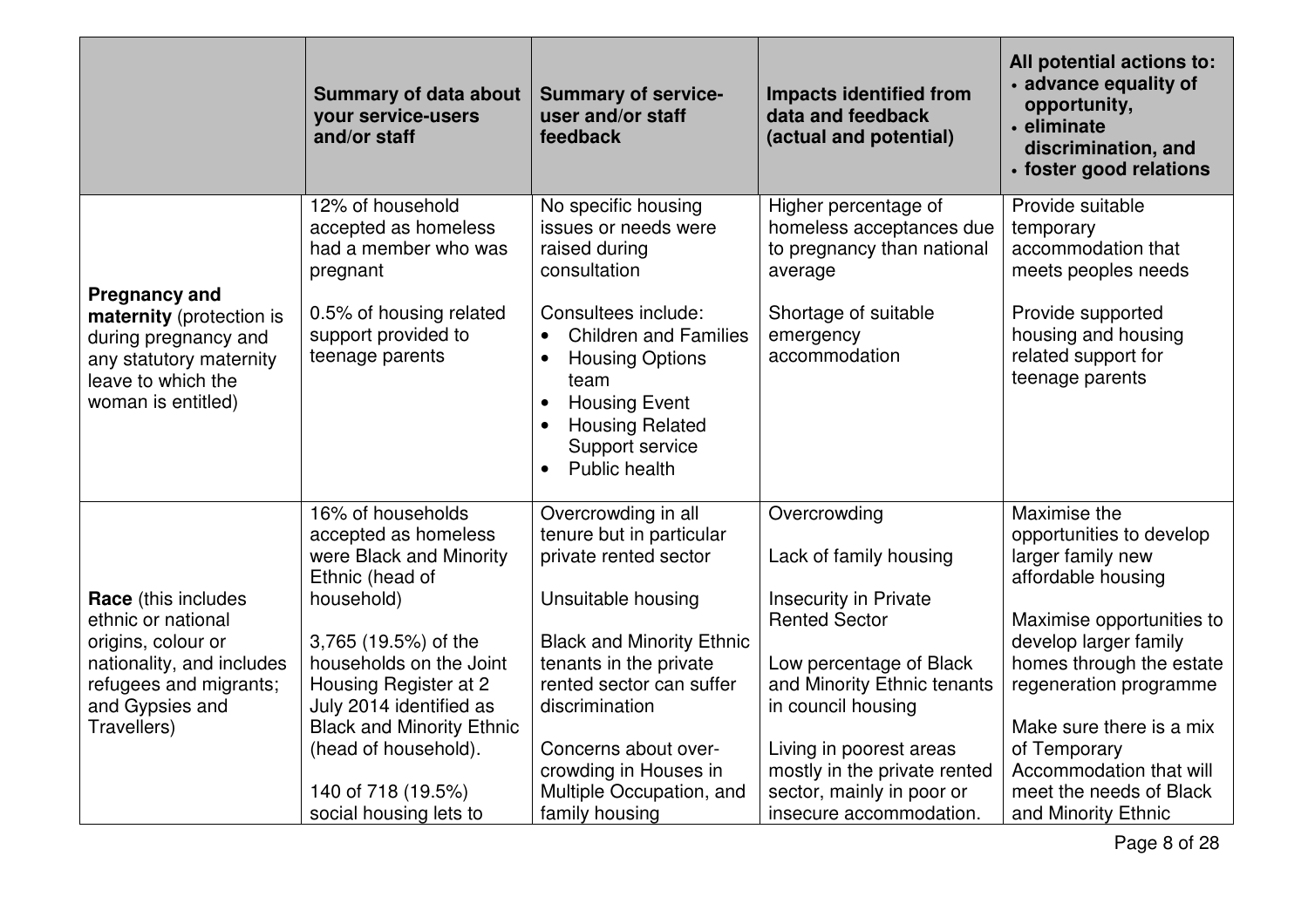|                                                                                                                                                 | <b>Summary of data about</b><br>your service-users<br>and/or staff                                       | <b>Summary of service-</b><br>user and/or staff<br>feedback                                                                                                                                                                     | <b>Impacts identified from</b><br>data and feedback<br>(actual and potential)                                   | All potential actions to:<br>· advance equality of<br>opportunity,<br>· eliminate<br>discrimination, and<br>· foster good relations |
|-------------------------------------------------------------------------------------------------------------------------------------------------|----------------------------------------------------------------------------------------------------------|---------------------------------------------------------------------------------------------------------------------------------------------------------------------------------------------------------------------------------|-----------------------------------------------------------------------------------------------------------------|-------------------------------------------------------------------------------------------------------------------------------------|
|                                                                                                                                                 | 12% of household<br>accepted as homeless<br>had a member who was<br>pregnant                             | No specific housing<br>issues or needs were<br>raised during<br>consultation                                                                                                                                                    | Higher percentage of<br>homeless acceptances due<br>to pregnancy than national<br>average                       | Provide suitable<br>temporary<br>accommodation that<br>meets peoples needs                                                          |
| <b>Pregnancy and</b><br>maternity (protection is<br>during pregnancy and<br>any statutory maternity<br>leave to which the<br>woman is entitled) | 0.5% of housing related<br>support provided to<br>teenage parents                                        | Consultees include:<br><b>Children and Families</b><br>$\bullet$<br><b>Housing Options</b><br>$\bullet$<br>team<br><b>Housing Event</b><br>$\bullet$<br><b>Housing Related</b><br>$\bullet$<br>Support service<br>Public health | Shortage of suitable<br>emergency<br>accommodation                                                              | Provide supported<br>housing and housing<br>related support for<br>teenage parents                                                  |
| <b>Race</b> (this includes                                                                                                                      | 16% of households<br>accepted as homeless<br>were Black and Minority<br>Ethnic (head of<br>household)    | Overcrowding in all<br>tenure but in particular<br>private rented sector<br>Unsuitable housing                                                                                                                                  | Overcrowding<br>Lack of family housing<br><b>Insecurity in Private</b>                                          | Maximise the<br>opportunities to develop<br>larger family new<br>affordable housing                                                 |
| ethnic or national<br>origins, colour or<br>nationality, and includes<br>refugees and migrants;<br>and Gypsies and                              | 3,765 (19.5%) of the<br>households on the Joint<br>Housing Register at 2<br>July 2014 identified as      | <b>Black and Minority Ethnic</b><br>tenants in the private<br>rented sector can suffer<br>discrimination                                                                                                                        | <b>Rented Sector</b><br>Low percentage of Black<br>and Minority Ethnic tenants<br>in council housing            | Maximise opportunities to<br>develop larger family<br>homes through the estate<br>regeneration programme                            |
| Travellers)                                                                                                                                     | <b>Black and Minority Ethnic</b><br>(head of household).<br>140 of 718 (19.5%)<br>social housing lets to | Concerns about over-<br>crowding in Houses in<br>Multiple Occupation, and<br>family housing                                                                                                                                     | Living in poorest areas<br>mostly in the private rented<br>sector, mainly in poor or<br>insecure accommodation. | Make sure there is a mix<br>of Temporary<br>Accommodation that will<br>meet the needs of Black<br>and Minority Ethnic               |

Page 8 of 28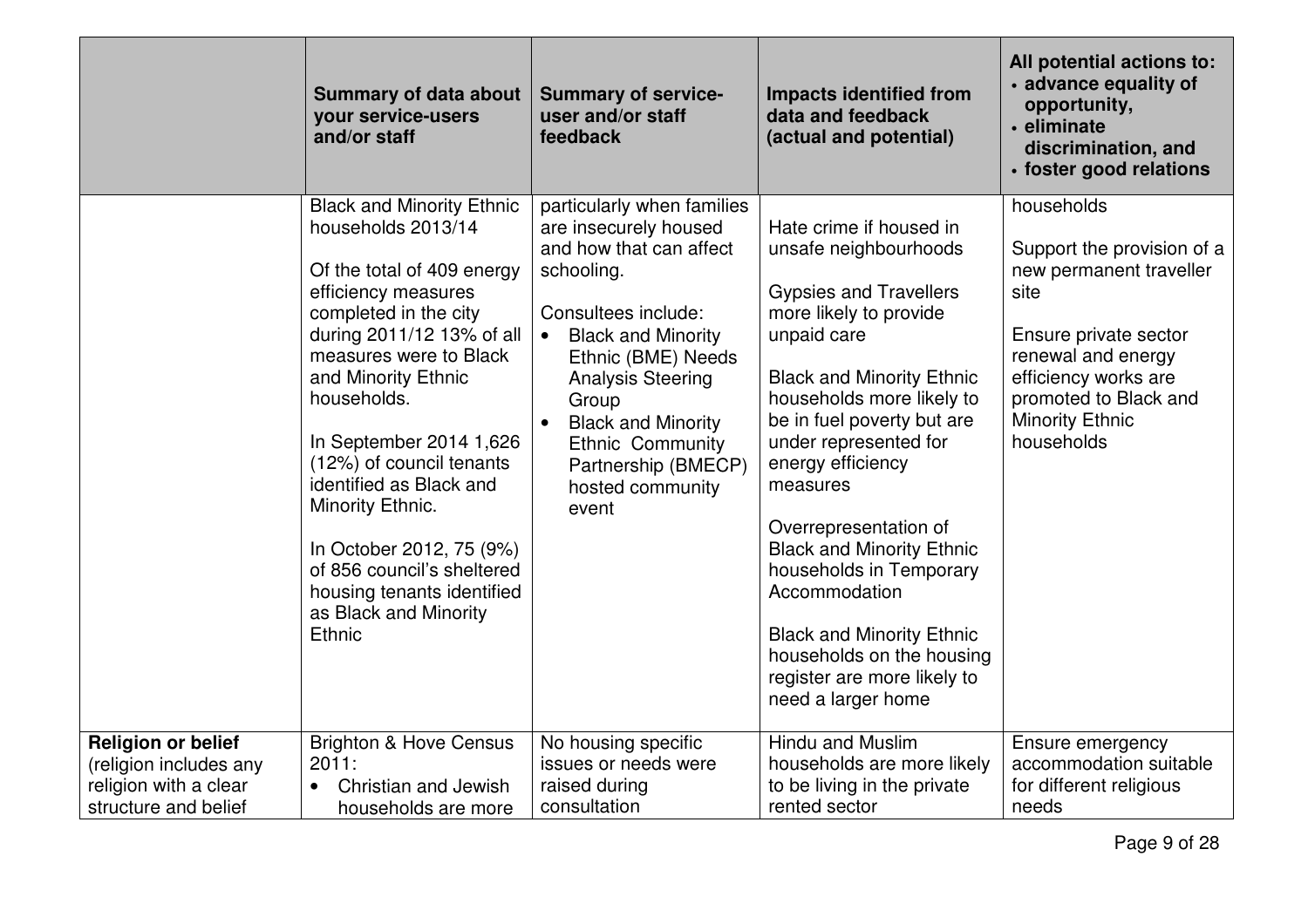|                                                                                                      | <b>Summary of data about</b><br>your service-users<br>and/or staff                                                                                                                                                                                                                                                                                                                                                                                                 | <b>Summary of service-</b><br>user and/or staff<br>feedback                                                                                                                                                                                                                                                                          | <b>Impacts identified from</b><br>data and feedback<br>(actual and potential)                                                                                                                                                                                                                                                                                                                                                                                                                                      | All potential actions to:<br>• advance equality of<br>opportunity,<br>• eliminate<br>discrimination, and<br>· foster good relations                                                                                 |
|------------------------------------------------------------------------------------------------------|--------------------------------------------------------------------------------------------------------------------------------------------------------------------------------------------------------------------------------------------------------------------------------------------------------------------------------------------------------------------------------------------------------------------------------------------------------------------|--------------------------------------------------------------------------------------------------------------------------------------------------------------------------------------------------------------------------------------------------------------------------------------------------------------------------------------|--------------------------------------------------------------------------------------------------------------------------------------------------------------------------------------------------------------------------------------------------------------------------------------------------------------------------------------------------------------------------------------------------------------------------------------------------------------------------------------------------------------------|---------------------------------------------------------------------------------------------------------------------------------------------------------------------------------------------------------------------|
|                                                                                                      | <b>Black and Minority Ethnic</b><br>households 2013/14<br>Of the total of 409 energy<br>efficiency measures<br>completed in the city<br>during 2011/12 13% of all<br>measures were to Black<br>and Minority Ethnic<br>households.<br>In September 2014 1,626<br>(12%) of council tenants<br>identified as Black and<br>Minority Ethnic.<br>In October 2012, 75 (9%)<br>of 856 council's sheltered<br>housing tenants identified<br>as Black and Minority<br>Ethnic | particularly when families<br>are insecurely housed<br>and how that can affect<br>schooling.<br>Consultees include:<br><b>Black and Minority</b><br>$\bullet$<br>Ethnic (BME) Needs<br><b>Analysis Steering</b><br>Group<br><b>Black and Minority</b><br><b>Ethnic Community</b><br>Partnership (BMECP)<br>hosted community<br>event | Hate crime if housed in<br>unsafe neighbourhoods<br><b>Gypsies and Travellers</b><br>more likely to provide<br>unpaid care<br><b>Black and Minority Ethnic</b><br>households more likely to<br>be in fuel poverty but are<br>under represented for<br>energy efficiency<br>measures<br>Overrepresentation of<br><b>Black and Minority Ethnic</b><br>households in Temporary<br>Accommodation<br><b>Black and Minority Ethnic</b><br>households on the housing<br>register are more likely to<br>need a larger home | households<br>Support the provision of a<br>new permanent traveller<br>site<br>Ensure private sector<br>renewal and energy<br>efficiency works are<br>promoted to Black and<br><b>Minority Ethnic</b><br>households |
| <b>Religion or belief</b><br>(religion includes any<br>religion with a clear<br>structure and belief | <b>Brighton &amp; Hove Census</b><br>2011:<br>Christian and Jewish<br>$\bullet$<br>households are more                                                                                                                                                                                                                                                                                                                                                             | No housing specific<br>issues or needs were<br>raised during<br>consultation                                                                                                                                                                                                                                                         | Hindu and Muslim<br>households are more likely<br>to be living in the private<br>rented sector                                                                                                                                                                                                                                                                                                                                                                                                                     | Ensure emergency<br>accommodation suitable<br>for different religious<br>needs                                                                                                                                      |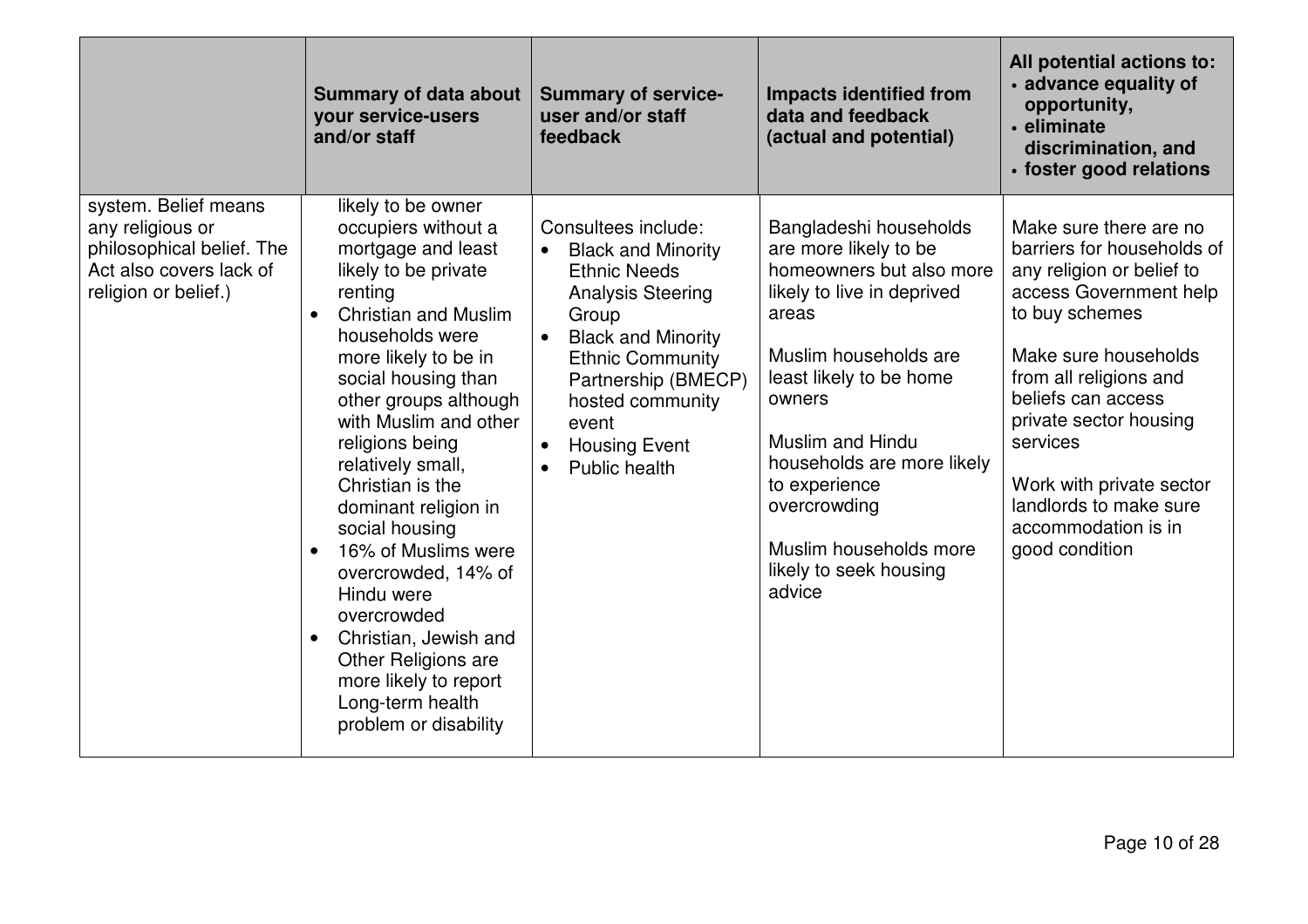|                                                                                                                          | <b>Summary of data about</b><br>your service-users<br>and/or staff                                                                                                                                                                                                                                                                                                                                                                                                                                                                                                                     | <b>Summary of service-</b><br>user and/or staff<br>feedback                                                                                                                                                                                                                                 | <b>Impacts identified from</b><br>data and feedback<br>(actual and potential)                                                                                                                                                                                                                                                            | All potential actions to:<br>• advance equality of<br>opportunity,<br>· eliminate<br>discrimination, and<br>· foster good relations                                                                                                                                                                                                        |
|--------------------------------------------------------------------------------------------------------------------------|----------------------------------------------------------------------------------------------------------------------------------------------------------------------------------------------------------------------------------------------------------------------------------------------------------------------------------------------------------------------------------------------------------------------------------------------------------------------------------------------------------------------------------------------------------------------------------------|---------------------------------------------------------------------------------------------------------------------------------------------------------------------------------------------------------------------------------------------------------------------------------------------|------------------------------------------------------------------------------------------------------------------------------------------------------------------------------------------------------------------------------------------------------------------------------------------------------------------------------------------|--------------------------------------------------------------------------------------------------------------------------------------------------------------------------------------------------------------------------------------------------------------------------------------------------------------------------------------------|
| system. Belief means<br>any religious or<br>philosophical belief. The<br>Act also covers lack of<br>religion or belief.) | likely to be owner<br>occupiers without a<br>mortgage and least<br>likely to be private<br>renting<br><b>Christian and Muslim</b><br>households were<br>more likely to be in<br>social housing than<br>other groups although<br>with Muslim and other<br>religions being<br>relatively small,<br>Christian is the<br>dominant religion in<br>social housing<br>16% of Muslims were<br>$\bullet$<br>overcrowded, 14% of<br>Hindu were<br>overcrowded<br>Christian, Jewish and<br>$\bullet$<br>Other Religions are<br>more likely to report<br>Long-term health<br>problem or disability | Consultees include:<br><b>Black and Minority</b><br>$\bullet$<br><b>Ethnic Needs</b><br><b>Analysis Steering</b><br>Group<br><b>Black and Minority</b><br>$\bullet$<br><b>Ethnic Community</b><br>Partnership (BMECP)<br>hosted community<br>event<br><b>Housing Event</b><br>Public health | Bangladeshi households<br>are more likely to be<br>homeowners but also more<br>likely to live in deprived<br>areas<br>Muslim households are<br>least likely to be home<br>owners<br><b>Muslim and Hindu</b><br>households are more likely<br>to experience<br>overcrowding<br>Muslim households more<br>likely to seek housing<br>advice | Make sure there are no<br>barriers for households of<br>any religion or belief to<br>access Government help<br>to buy schemes<br>Make sure households<br>from all religions and<br>beliefs can access<br>private sector housing<br>services<br>Work with private sector<br>landlords to make sure<br>accommodation is in<br>good condition |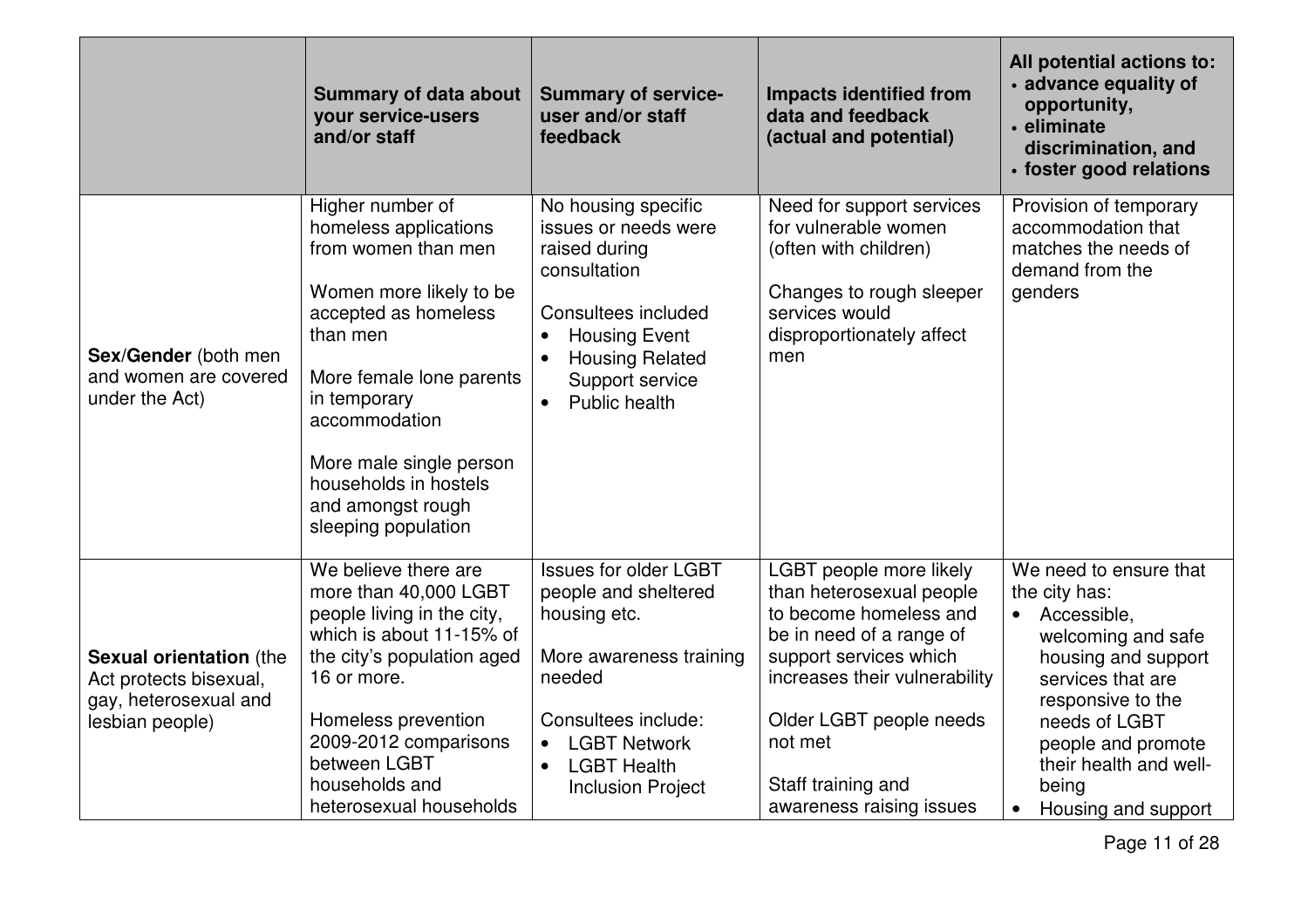|                                                                                                      | <b>Summary of data about</b><br>your service-users<br>and/or staff                                                                                                                                                                                                                           | <b>Summary of service-</b><br>user and/or staff<br>feedback                                                                                                                                                                         | <b>Impacts identified from</b><br>data and feedback<br>(actual and potential)                                                                                                                                                                                | All potential actions to:<br>· advance equality of<br>opportunity,<br>· eliminate<br>discrimination, and<br>· foster good relations                                                                                                            |
|------------------------------------------------------------------------------------------------------|----------------------------------------------------------------------------------------------------------------------------------------------------------------------------------------------------------------------------------------------------------------------------------------------|-------------------------------------------------------------------------------------------------------------------------------------------------------------------------------------------------------------------------------------|--------------------------------------------------------------------------------------------------------------------------------------------------------------------------------------------------------------------------------------------------------------|------------------------------------------------------------------------------------------------------------------------------------------------------------------------------------------------------------------------------------------------|
| Sex/Gender (both men<br>and women are covered<br>under the Act)                                      | Higher number of<br>homeless applications<br>from women than men<br>Women more likely to be<br>accepted as homeless<br>than men<br>More female lone parents<br>in temporary<br>accommodation<br>More male single person<br>households in hostels<br>and amongst rough<br>sleeping population | No housing specific<br>issues or needs were<br>raised during<br>consultation<br>Consultees included<br><b>Housing Event</b><br>$\bullet$<br><b>Housing Related</b><br>$\bullet$<br>Support service<br>Public health<br>$\bullet$    | Need for support services<br>for vulnerable women<br>(often with children)<br>Changes to rough sleeper<br>services would<br>disproportionately affect<br>men                                                                                                 | Provision of temporary<br>accommodation that<br>matches the needs of<br>demand from the<br>genders                                                                                                                                             |
| <b>Sexual orientation (the</b><br>Act protects bisexual,<br>gay, heterosexual and<br>lesbian people) | $\overline{\text{We}}$ believe there are<br>more than 40,000 LGBT<br>people living in the city,<br>which is about 11-15% of<br>the city's population aged<br>16 or more.<br>Homeless prevention<br>2009-2012 comparisons<br>between LGBT<br>households and<br>heterosexual households        | <b>Issues for older LGBT</b><br>people and sheltered<br>housing etc.<br>More awareness training<br>needed<br>Consultees include:<br><b>LGBT Network</b><br>$\bullet$<br><b>LGBT Health</b><br>$\bullet$<br><b>Inclusion Project</b> | LGBT people more likely<br>than heterosexual people<br>to become homeless and<br>be in need of a range of<br>support services which<br>increases their vulnerability<br>Older LGBT people needs<br>not met<br>Staff training and<br>awareness raising issues | We need to ensure that<br>the city has:<br>Accessible,<br>welcoming and safe<br>housing and support<br>services that are<br>responsive to the<br>needs of LGBT<br>people and promote<br>their health and well-<br>being<br>Housing and support |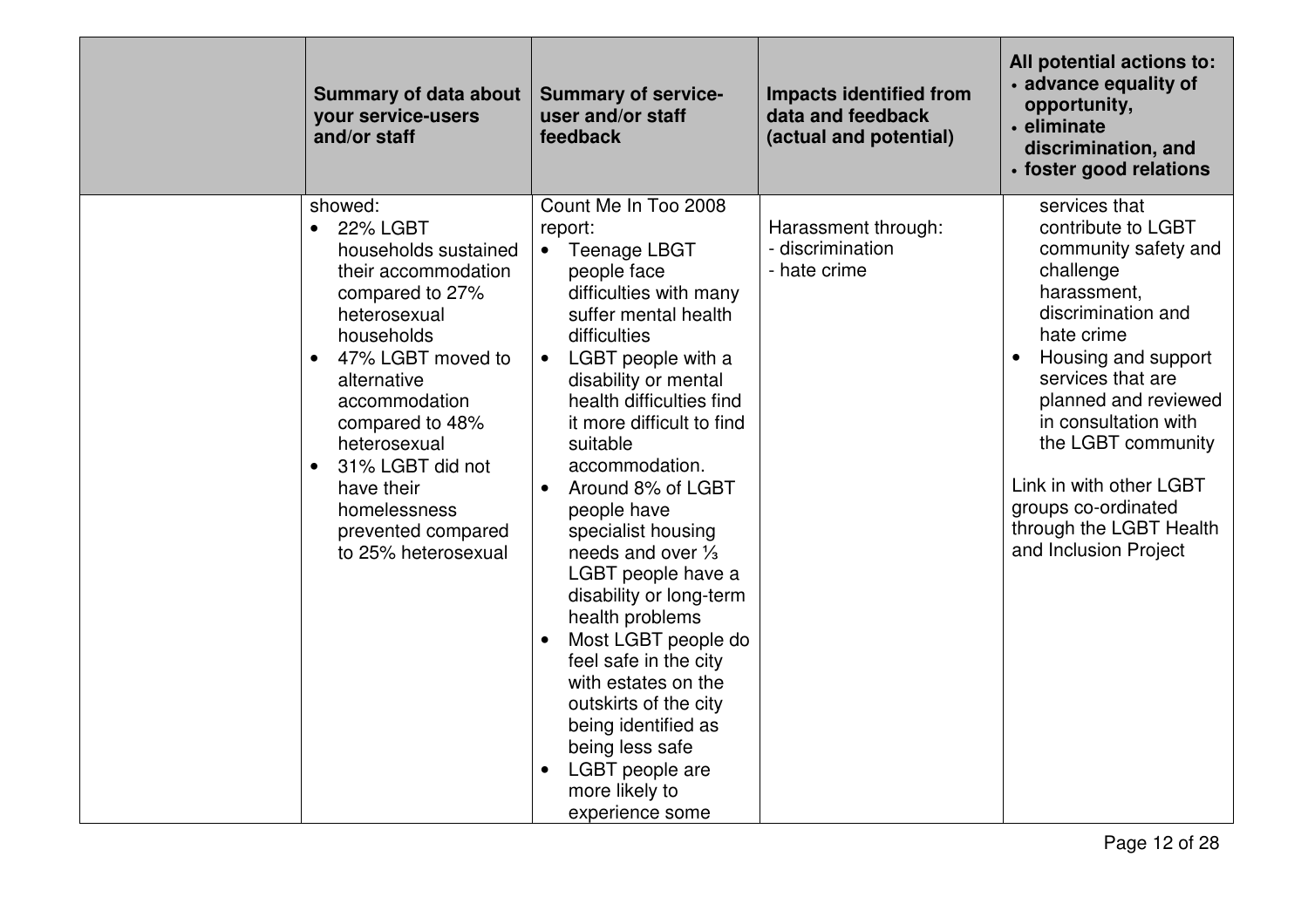| <b>Summary of data about</b><br>your service-users<br>and/or staff                                                                                                                                                                                                                                                                                       | <b>Summary of service-</b><br>user and/or staff<br>feedback                                                                                                                                                                                                                                                                                                                                                                                                                                                                                                                                                                                                                       | <b>Impacts identified from</b><br>data and feedback<br>(actual and potential) | All potential actions to:<br>· advance equality of<br>opportunity,<br>• eliminate<br>discrimination, and<br>· foster good relations                                                                                                                                                                                                                 |
|----------------------------------------------------------------------------------------------------------------------------------------------------------------------------------------------------------------------------------------------------------------------------------------------------------------------------------------------------------|-----------------------------------------------------------------------------------------------------------------------------------------------------------------------------------------------------------------------------------------------------------------------------------------------------------------------------------------------------------------------------------------------------------------------------------------------------------------------------------------------------------------------------------------------------------------------------------------------------------------------------------------------------------------------------------|-------------------------------------------------------------------------------|-----------------------------------------------------------------------------------------------------------------------------------------------------------------------------------------------------------------------------------------------------------------------------------------------------------------------------------------------------|
| showed:<br><b>22% LGBT</b><br>$\bullet$<br>households sustained<br>their accommodation<br>compared to 27%<br>heterosexual<br>households<br>47% LGBT moved to<br>$\bullet$<br>alternative<br>accommodation<br>compared to 48%<br>heterosexual<br>31% LGBT did not<br>$\bullet$<br>have their<br>homelessness<br>prevented compared<br>to 25% heterosexual | Count Me In Too 2008<br>report:<br>• Teenage LBGT<br>people face<br>difficulties with many<br>suffer mental health<br>difficulties<br>LGBT people with a<br>$\bullet$<br>disability or mental<br>health difficulties find<br>it more difficult to find<br>suitable<br>accommodation.<br>Around 8% of LGBT<br>$\bullet$<br>people have<br>specialist housing<br>needs and over 1/3<br>LGBT people have a<br>disability or long-term<br>health problems<br>Most LGBT people do<br>$\bullet$<br>feel safe in the city<br>with estates on the<br>outskirts of the city<br>being identified as<br>being less safe<br>LGBT people are<br>$\bullet$<br>more likely to<br>experience some | Harassment through:<br>- discrimination<br>- hate crime                       | services that<br>contribute to LGBT<br>community safety and<br>challenge<br>harassment,<br>discrimination and<br>hate crime<br>Housing and support<br>services that are<br>planned and reviewed<br>in consultation with<br>the LGBT community<br>Link in with other LGBT<br>groups co-ordinated<br>through the LGBT Health<br>and Inclusion Project |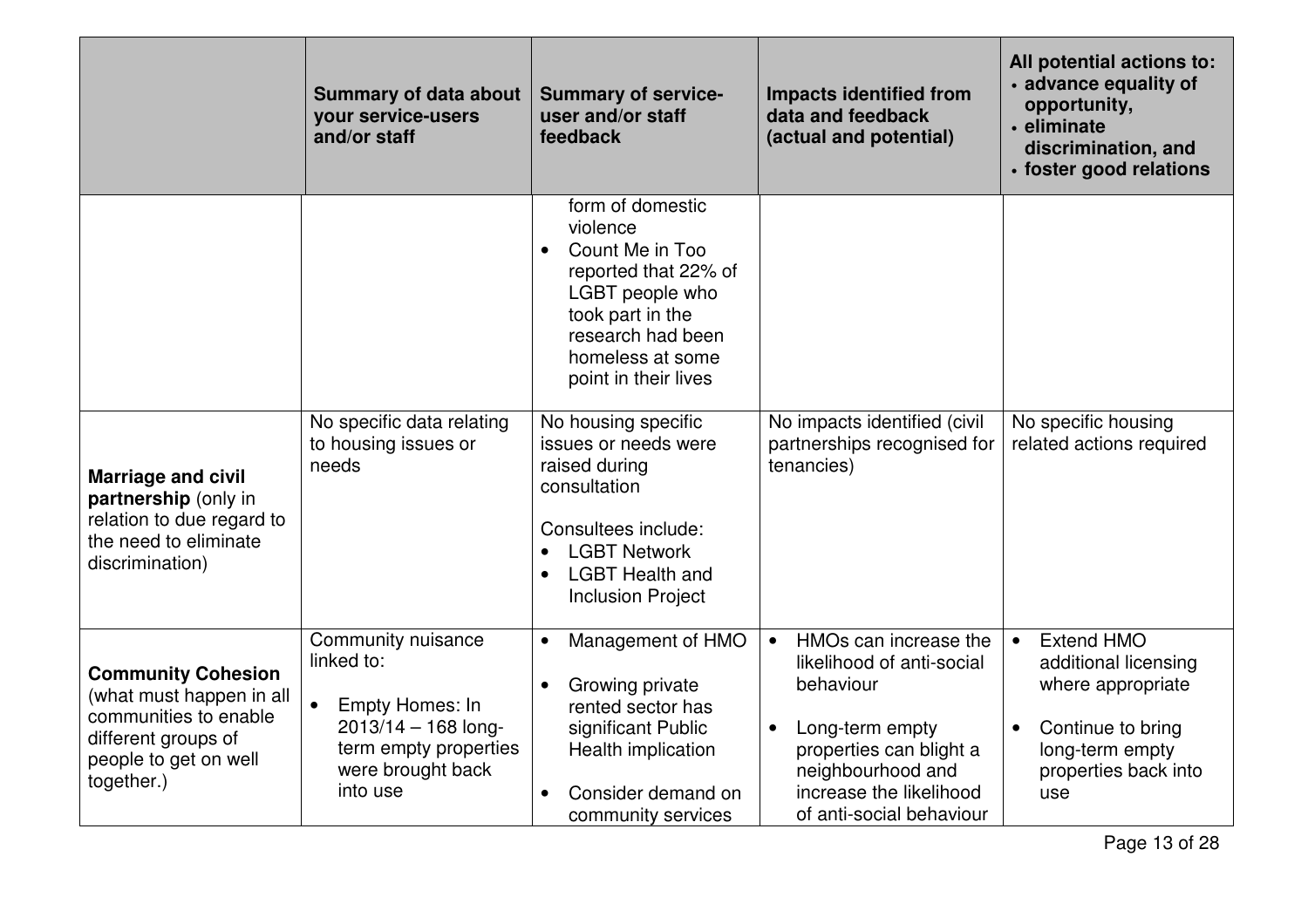|                                                                                                                                              | <b>Summary of data about</b><br>your service-users<br>and/or staff                                                                                  | <b>Summary of service-</b><br>user and/or staff<br>feedback                                                                                                                                  | <b>Impacts identified from</b><br>data and feedback<br>(actual and potential)                                                                                                                                       | All potential actions to:<br>· advance equality of<br>opportunity,<br>• eliminate<br>discrimination, and<br>· foster good relations                             |
|----------------------------------------------------------------------------------------------------------------------------------------------|-----------------------------------------------------------------------------------------------------------------------------------------------------|----------------------------------------------------------------------------------------------------------------------------------------------------------------------------------------------|---------------------------------------------------------------------------------------------------------------------------------------------------------------------------------------------------------------------|-----------------------------------------------------------------------------------------------------------------------------------------------------------------|
|                                                                                                                                              |                                                                                                                                                     | form of domestic<br>violence<br>Count Me in Too<br>$\bullet$<br>reported that 22% of<br>LGBT people who<br>took part in the<br>research had been<br>homeless at some<br>point in their lives |                                                                                                                                                                                                                     |                                                                                                                                                                 |
| <b>Marriage and civil</b><br>partnership (only in<br>relation to due regard to<br>the need to eliminate<br>discrimination)                   | No specific data relating<br>to housing issues or<br>needs                                                                                          | No housing specific<br>issues or needs were<br>raised during<br>consultation<br>Consultees include:<br><b>LGBT Network</b><br><b>LGBT Health and</b><br><b>Inclusion Project</b>             | No impacts identified (civil<br>partnerships recognised for<br>tenancies)                                                                                                                                           | No specific housing<br>related actions required                                                                                                                 |
| <b>Community Cohesion</b><br>(what must happen in all<br>communities to enable<br>different groups of<br>people to get on well<br>together.) | Community nuisance<br>linked to:<br>$\bullet$<br>Empty Homes: In<br>$2013/14 - 168$ long-<br>term empty properties<br>were brought back<br>into use | Management of HMO<br>$\bullet$<br>Growing private<br>$\bullet$<br>rented sector has<br>significant Public<br>Health implication<br>Consider demand on<br>community services                  | HMOs can increase the<br>$\bullet$<br>likelihood of anti-social<br>behaviour<br>Long-term empty<br>$\bullet$<br>properties can blight a<br>neighbourhood and<br>increase the likelihood<br>of anti-social behaviour | <b>Extend HMO</b><br>$\bullet$<br>additional licensing<br>where appropriate<br>Continue to bring<br>$\bullet$<br>long-term empty<br>properties back into<br>use |

Page 13 of 28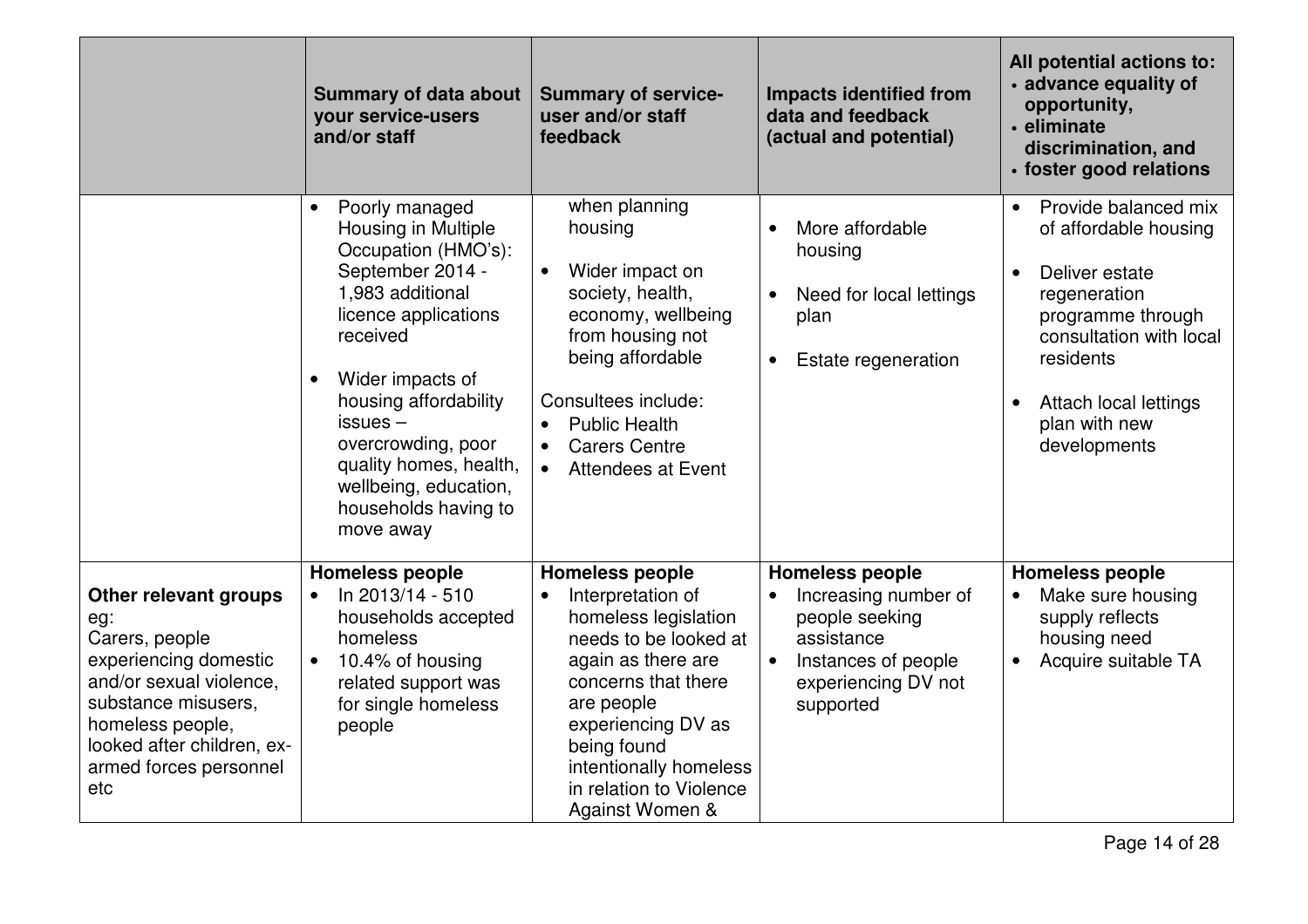|                                                                                                                                                                                                              | <b>Summary of data about</b><br>your service-users<br>and/or staff                                                                                                                                                                                                                                                                          | <b>Summary of service-</b><br>user and/or staff<br>feedback                                                                                                                                                                                                                       | <b>Impacts identified from</b><br>data and feedback<br>(actual and potential)                                                                                       | All potential actions to:<br>· advance equality of<br>opportunity,<br>· eliminate<br>discrimination, and<br>· foster good relations                                                                                              |
|--------------------------------------------------------------------------------------------------------------------------------------------------------------------------------------------------------------|---------------------------------------------------------------------------------------------------------------------------------------------------------------------------------------------------------------------------------------------------------------------------------------------------------------------------------------------|-----------------------------------------------------------------------------------------------------------------------------------------------------------------------------------------------------------------------------------------------------------------------------------|---------------------------------------------------------------------------------------------------------------------------------------------------------------------|----------------------------------------------------------------------------------------------------------------------------------------------------------------------------------------------------------------------------------|
|                                                                                                                                                                                                              | Poorly managed<br>$\bullet$<br>Housing in Multiple<br>Occupation (HMO's):<br>September 2014 -<br>1,983 additional<br>licence applications<br>received<br>Wider impacts of<br>$\bullet$<br>housing affordability<br>$issues -$<br>overcrowding, poor<br>quality homes, health,<br>wellbeing, education,<br>households having to<br>move away | when planning<br>housing<br>Wider impact on<br>$\bullet$<br>society, health,<br>economy, wellbeing<br>from housing not<br>being affordable<br>Consultees include:<br><b>Public Health</b><br><b>Carers Centre</b><br>$\bullet$<br>Attendees at Event<br>$\bullet$                 | More affordable<br>housing<br>Need for local lettings<br>$\bullet$<br>plan<br>Estate regeneration<br>$\bullet$                                                      | Provide balanced mix<br>of affordable housing<br>Deliver estate<br>$\bullet$<br>regeneration<br>programme through<br>consultation with local<br>residents<br>Attach local lettings<br>$\bullet$<br>plan with new<br>developments |
| Other relevant groups<br>eg:<br>Carers, people<br>experiencing domestic<br>and/or sexual violence,<br>substance misusers,<br>homeless people,<br>looked after children, ex-<br>armed forces personnel<br>etc | <b>Homeless people</b><br>In 2013/14 - 510<br>households accepted<br>homeless<br>10.4% of housing<br>$\bullet$<br>related support was<br>for single homeless<br>people                                                                                                                                                                      | <b>Homeless people</b><br>Interpretation of<br>$\bullet$<br>homeless legislation<br>needs to be looked at<br>again as there are<br>concerns that there<br>are people<br>experiencing DV as<br>being found<br>intentionally homeless<br>in relation to Violence<br>Against Women & | <b>Homeless people</b><br>Increasing number of<br>$\bullet$<br>people seeking<br>assistance<br>Instances of people<br>$\bullet$<br>experiencing DV not<br>supported | <b>Homeless people</b><br>Make sure housing<br>supply reflects<br>housing need<br>Acquire suitable TA<br>$\bullet$                                                                                                               |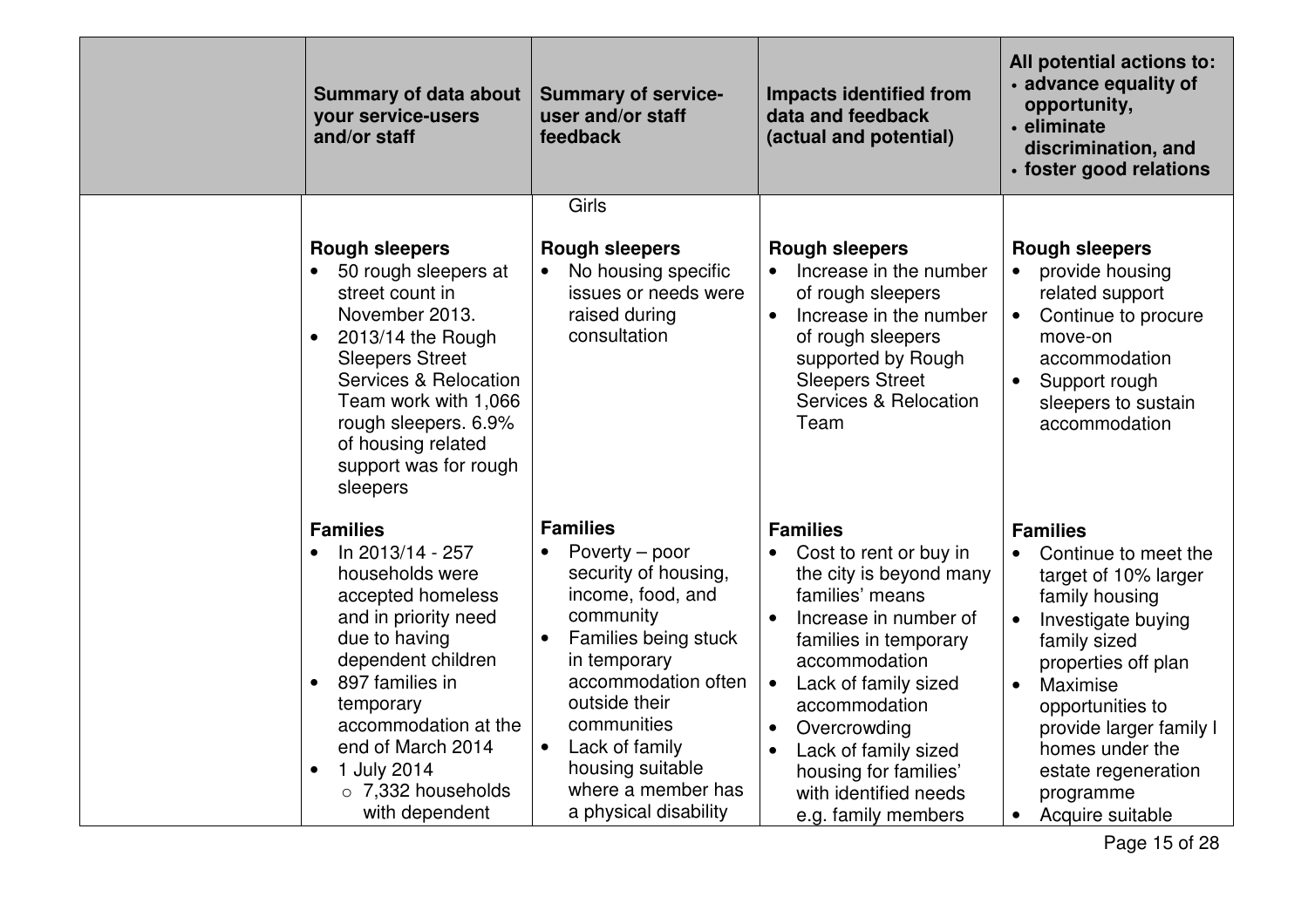| <b>Summary of data about</b><br>your service-users<br>and/or staff                                                                                                                                                                                                                                                          | <b>Summary of service-</b><br>user and/or staff<br>feedback                                                                                                                                                                                                                                               | <b>Impacts identified from</b><br>data and feedback<br>(actual and potential)                                                                                                                                                                                                                                                     | All potential actions to:<br>· advance equality of<br>opportunity,<br>• eliminate<br>discrimination, and<br>· foster good relations                                                                                                                                                                            |
|-----------------------------------------------------------------------------------------------------------------------------------------------------------------------------------------------------------------------------------------------------------------------------------------------------------------------------|-----------------------------------------------------------------------------------------------------------------------------------------------------------------------------------------------------------------------------------------------------------------------------------------------------------|-----------------------------------------------------------------------------------------------------------------------------------------------------------------------------------------------------------------------------------------------------------------------------------------------------------------------------------|----------------------------------------------------------------------------------------------------------------------------------------------------------------------------------------------------------------------------------------------------------------------------------------------------------------|
| <b>Rough sleepers</b><br>50 rough sleepers at<br>$\bullet$<br>street count in<br>November 2013.<br>$2013/14$ the Rough<br>$\bullet$<br><b>Sleepers Street</b><br><b>Services &amp; Relocation</b><br>Team work with 1,066<br>rough sleepers. 6.9%<br>of housing related<br>support was for rough<br>sleepers                | Girls<br><b>Rough sleepers</b><br>No housing specific<br>$\bullet$<br>issues or needs were<br>raised during<br>consultation                                                                                                                                                                               | <b>Rough sleepers</b><br>Increase in the number<br>of rough sleepers<br>Increase in the number<br>$\bullet$<br>of rough sleepers<br>supported by Rough<br><b>Sleepers Street</b><br>Services & Relocation<br>Team                                                                                                                 | <b>Rough sleepers</b><br>provide housing<br>$\bullet$<br>related support<br>Continue to procure<br>move-on<br>accommodation<br>Support rough<br>sleepers to sustain<br>accommodation                                                                                                                           |
| <b>Families</b><br>In 2013/14 - 257<br>$\bullet$<br>households were<br>accepted homeless<br>and in priority need<br>due to having<br>dependent children<br>897 families in<br>$\bullet$<br>temporary<br>accommodation at the<br>end of March 2014<br>1 July 2014<br>$\bullet$<br>$\circ$ 7,332 households<br>with dependent | <b>Families</b><br>Poverty – poor<br>security of housing,<br>income, food, and<br>community<br>Families being stuck<br>$\bullet$<br>in temporary<br>accommodation often<br>outside their<br>communities<br>Lack of family<br>$\bullet$<br>housing suitable<br>where a member has<br>a physical disability | <b>Families</b><br>Cost to rent or buy in<br>the city is beyond many<br>families' means<br>Increase in number of<br>families in temporary<br>accommodation<br>Lack of family sized<br>$\bullet$<br>accommodation<br>Overcrowding<br>Lack of family sized<br>housing for families'<br>with identified needs<br>e.g. family members | <b>Families</b><br>Continue to meet the<br>$\bullet$<br>target of 10% larger<br>family housing<br>Investigate buying<br>family sized<br>properties off plan<br>Maximise<br>$\bullet$<br>opportunities to<br>provide larger family I<br>homes under the<br>estate regeneration<br>programme<br>Acquire suitable |

Page 15 of 28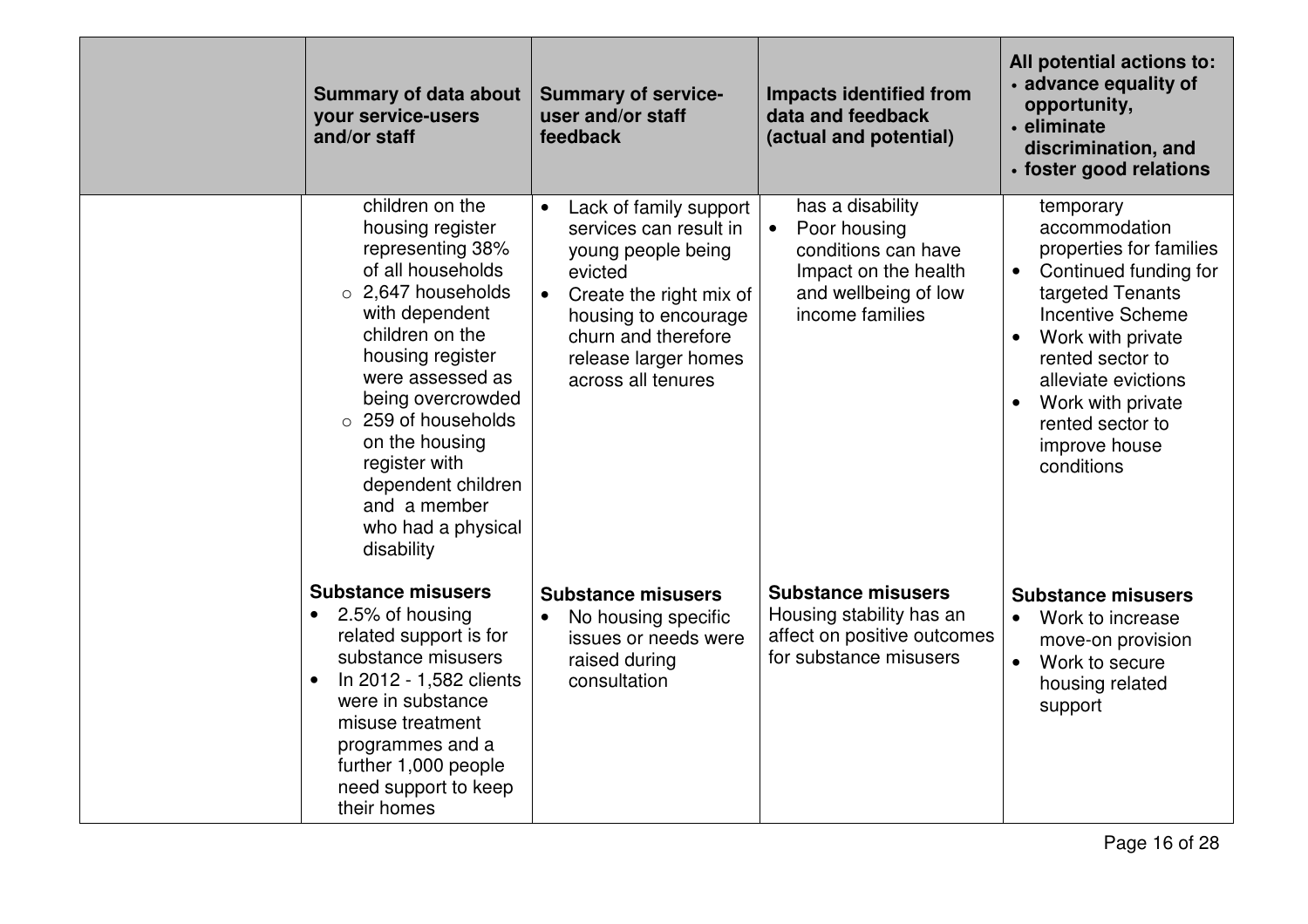| <b>Summary of data about</b><br>your service-users<br>and/or staff                                                                                                                                                                                                                                                                                   | <b>Summary of service-</b><br>user and/or staff<br>feedback                                                                                                                                                                         | <b>Impacts identified from</b><br>data and feedback<br>(actual and potential)                                                           | All potential actions to:<br>· advance equality of<br>opportunity,<br>· eliminate<br>discrimination, and<br>· foster good relations                                                                                                                                                             |
|------------------------------------------------------------------------------------------------------------------------------------------------------------------------------------------------------------------------------------------------------------------------------------------------------------------------------------------------------|-------------------------------------------------------------------------------------------------------------------------------------------------------------------------------------------------------------------------------------|-----------------------------------------------------------------------------------------------------------------------------------------|-------------------------------------------------------------------------------------------------------------------------------------------------------------------------------------------------------------------------------------------------------------------------------------------------|
| children on the<br>housing register<br>representing 38%<br>of all households<br>$\circ$ 2,647 households<br>with dependent<br>children on the<br>housing register<br>were assessed as<br>being overcrowded<br>$\circ$ 259 of households<br>on the housing<br>register with<br>dependent children<br>and a member<br>who had a physical<br>disability | Lack of family support<br>$\bullet$<br>services can result in<br>young people being<br>evicted<br>Create the right mix of<br>$\bullet$<br>housing to encourage<br>churn and therefore<br>release larger homes<br>across all tenures | has a disability<br>Poor housing<br>$\bullet$<br>conditions can have<br>Impact on the health<br>and wellbeing of low<br>income families | temporary<br>accommodation<br>properties for families<br>Continued funding for<br>$\bullet$<br>targeted Tenants<br><b>Incentive Scheme</b><br>Work with private<br>$\bullet$<br>rented sector to<br>alleviate evictions<br>Work with private<br>rented sector to<br>improve house<br>conditions |
| <b>Substance misusers</b><br>2.5% of housing<br>related support is for<br>substance misusers<br>In 2012 - 1,582 clients<br>$\bullet$<br>were in substance<br>misuse treatment<br>programmes and a<br>further 1,000 people<br>need support to keep<br>their homes                                                                                     | <b>Substance misusers</b><br>No housing specific<br>$\bullet$<br>issues or needs were<br>raised during<br>consultation                                                                                                              | <b>Substance misusers</b><br>Housing stability has an<br>affect on positive outcomes<br>for substance misusers                          | <b>Substance misusers</b><br>Work to increase<br>$\bullet$<br>move-on provision<br>Work to secure<br>$\bullet$<br>housing related<br>support                                                                                                                                                    |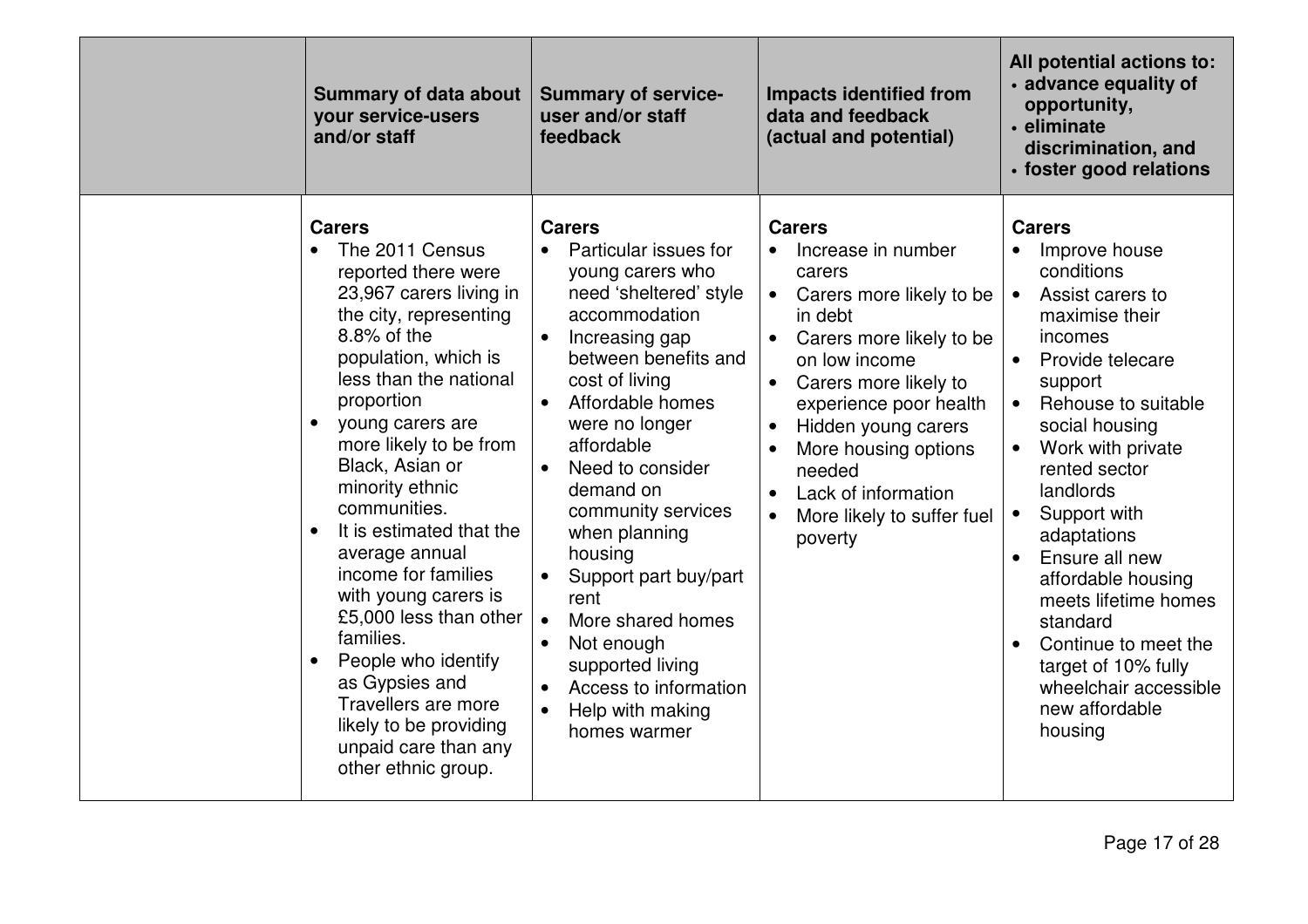| <b>Summary of data about</b><br>your service-users<br>and/or staff                                                                                                                                                                                                                                                                                                                                                                                                                                                                                                                        | <b>Summary of service-</b><br>user and/or staff<br>feedback                                                                                                                                                                                                                                                                                                                                                                                                                                                                    | <b>Impacts identified from</b><br>data and feedback<br>(actual and potential)                                                                                                                                                                                                                                                                        | All potential actions to:<br>• advance equality of<br>opportunity,<br>• eliminate<br>discrimination, and<br>· foster good relations                                                                                                                                                                                                                                                                                                                                                                                    |
|-------------------------------------------------------------------------------------------------------------------------------------------------------------------------------------------------------------------------------------------------------------------------------------------------------------------------------------------------------------------------------------------------------------------------------------------------------------------------------------------------------------------------------------------------------------------------------------------|--------------------------------------------------------------------------------------------------------------------------------------------------------------------------------------------------------------------------------------------------------------------------------------------------------------------------------------------------------------------------------------------------------------------------------------------------------------------------------------------------------------------------------|------------------------------------------------------------------------------------------------------------------------------------------------------------------------------------------------------------------------------------------------------------------------------------------------------------------------------------------------------|------------------------------------------------------------------------------------------------------------------------------------------------------------------------------------------------------------------------------------------------------------------------------------------------------------------------------------------------------------------------------------------------------------------------------------------------------------------------------------------------------------------------|
| <b>Carers</b><br>The 2011 Census<br>reported there were<br>23,967 carers living in<br>the city, representing<br>8.8% of the<br>population, which is<br>less than the national<br>proportion<br>young carers are<br>more likely to be from<br>Black, Asian or<br>minority ethnic<br>communities.<br>It is estimated that the<br>$\bullet$<br>average annual<br>income for families<br>with young carers is<br>£5,000 less than other<br>families.<br>People who identify<br>as Gypsies and<br>Travellers are more<br>likely to be providing<br>unpaid care than any<br>other ethnic group. | <b>Carers</b><br>Particular issues for<br>young carers who<br>need 'sheltered' style<br>accommodation<br>Increasing gap<br>$\bullet$<br>between benefits and<br>cost of living<br>Affordable homes<br>$\bullet$<br>were no longer<br>affordable<br>Need to consider<br>demand on<br>community services<br>when planning<br>housing<br>Support part buy/part<br>rent<br>More shared homes<br>$\bullet$<br>Not enough<br>supported living<br>Access to information<br>$\bullet$<br>Help with making<br>$\bullet$<br>homes warmer | <b>Carers</b><br>Increase in number<br>carers<br>Carers more likely to be<br>$\bullet$<br>in debt<br>Carers more likely to be<br>$\bullet$<br>on low income<br>Carers more likely to<br>experience poor health<br>Hidden young carers<br>More housing options<br>needed<br>Lack of information<br>$\bullet$<br>More likely to suffer fuel<br>poverty | <b>Carers</b><br>Improve house<br>conditions<br>Assist carers to<br>$\bullet$<br>maximise their<br>incomes<br>$\bullet$<br>Provide telecare<br>support<br>Rehouse to suitable<br>$\bullet$<br>social housing<br>Work with private<br>rented sector<br>landlords<br>Support with<br>$\bullet$<br>adaptations<br>Ensure all new<br>$\bullet$<br>affordable housing<br>meets lifetime homes<br>standard<br>Continue to meet the<br>$\bullet$<br>target of 10% fully<br>wheelchair accessible<br>new affordable<br>housing |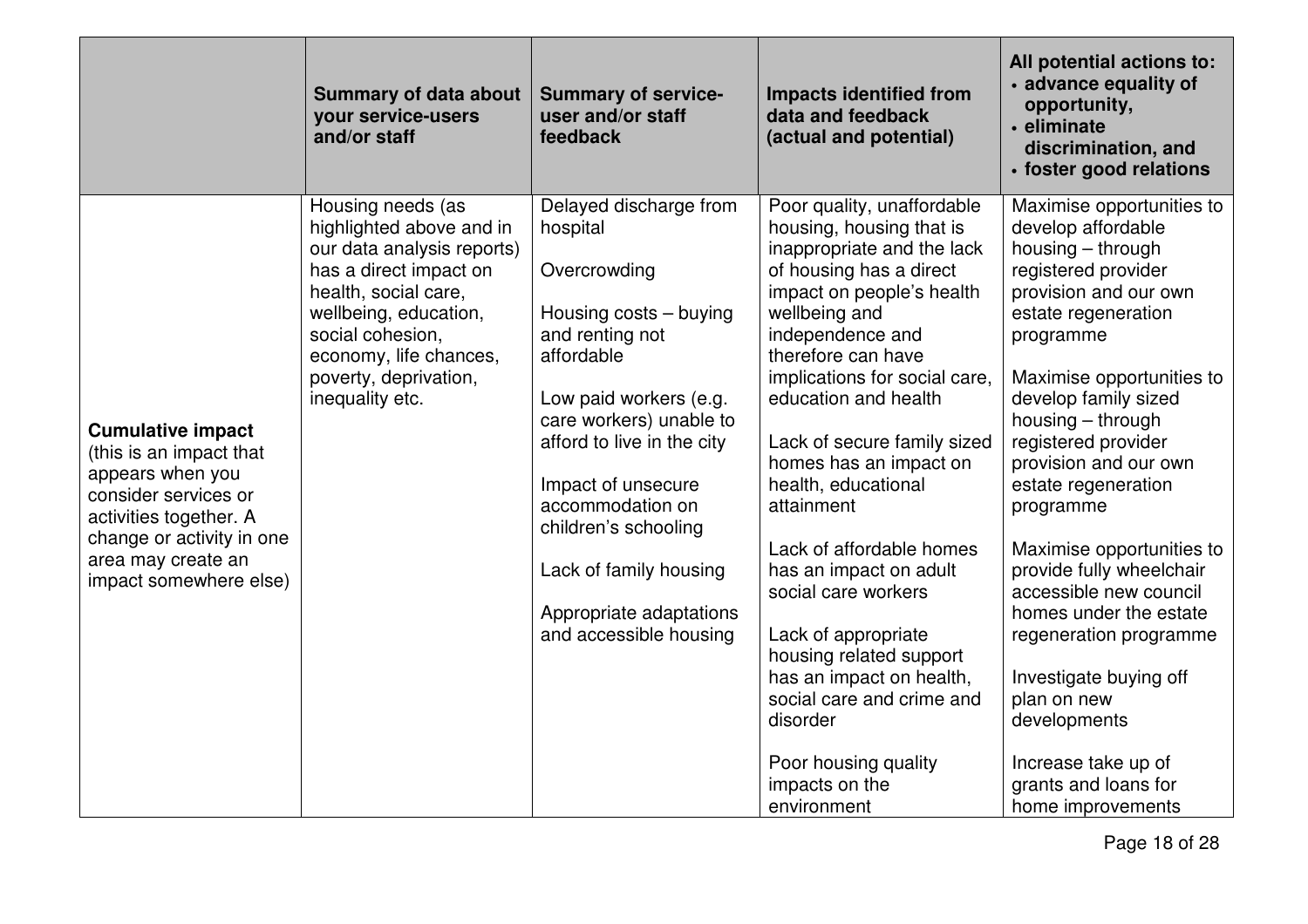|                                                                                                                                                                                                        | <b>Summary of data about</b><br>your service-users<br>and/or staff                                                                                                                                                                               | <b>Summary of service-</b><br>user and/or staff<br>feedback                                                                                                                                                                                                                                                                                       | <b>Impacts identified from</b><br>data and feedback<br>(actual and potential)                                                                                                                                                                                                                                                                                                                                                                                                                                                                                                                                               | All potential actions to:<br>· advance equality of<br>opportunity,<br>· eliminate<br>discrimination, and<br>· foster good relations                                                                                                                                                                                                                                                                                                                                                                                                                                                        |
|--------------------------------------------------------------------------------------------------------------------------------------------------------------------------------------------------------|--------------------------------------------------------------------------------------------------------------------------------------------------------------------------------------------------------------------------------------------------|---------------------------------------------------------------------------------------------------------------------------------------------------------------------------------------------------------------------------------------------------------------------------------------------------------------------------------------------------|-----------------------------------------------------------------------------------------------------------------------------------------------------------------------------------------------------------------------------------------------------------------------------------------------------------------------------------------------------------------------------------------------------------------------------------------------------------------------------------------------------------------------------------------------------------------------------------------------------------------------------|--------------------------------------------------------------------------------------------------------------------------------------------------------------------------------------------------------------------------------------------------------------------------------------------------------------------------------------------------------------------------------------------------------------------------------------------------------------------------------------------------------------------------------------------------------------------------------------------|
| <b>Cumulative impact</b><br>(this is an impact that<br>appears when you<br>consider services or<br>activities together. A<br>change or activity in one<br>area may create an<br>impact somewhere else) | Housing needs (as<br>highlighted above and in<br>our data analysis reports)<br>has a direct impact on<br>health, social care,<br>wellbeing, education,<br>social cohesion,<br>economy, life chances,<br>poverty, deprivation,<br>inequality etc. | Delayed discharge from<br>hospital<br>Overcrowding<br>Housing costs - buying<br>and renting not<br>affordable<br>Low paid workers (e.g.<br>care workers) unable to<br>afford to live in the city<br>Impact of unsecure<br>accommodation on<br>children's schooling<br>Lack of family housing<br>Appropriate adaptations<br>and accessible housing | Poor quality, unaffordable<br>housing, housing that is<br>inappropriate and the lack<br>of housing has a direct<br>impact on people's health<br>wellbeing and<br>independence and<br>therefore can have<br>implications for social care,<br>education and health<br>Lack of secure family sized<br>homes has an impact on<br>health, educational<br>attainment<br>Lack of affordable homes<br>has an impact on adult<br>social care workers<br>Lack of appropriate<br>housing related support<br>has an impact on health,<br>social care and crime and<br>disorder<br>Poor housing quality<br>impacts on the<br>environment | Maximise opportunities to<br>develop affordable<br>housing – through<br>registered provider<br>provision and our own<br>estate regeneration<br>programme<br>Maximise opportunities to<br>develop family sized<br>housing – through<br>registered provider<br>provision and our own<br>estate regeneration<br>programme<br>Maximise opportunities to<br>provide fully wheelchair<br>accessible new council<br>homes under the estate<br>regeneration programme<br>Investigate buying off<br>plan on new<br>developments<br>Increase take up of<br>grants and loans for<br>home improvements |

Page 18 of 28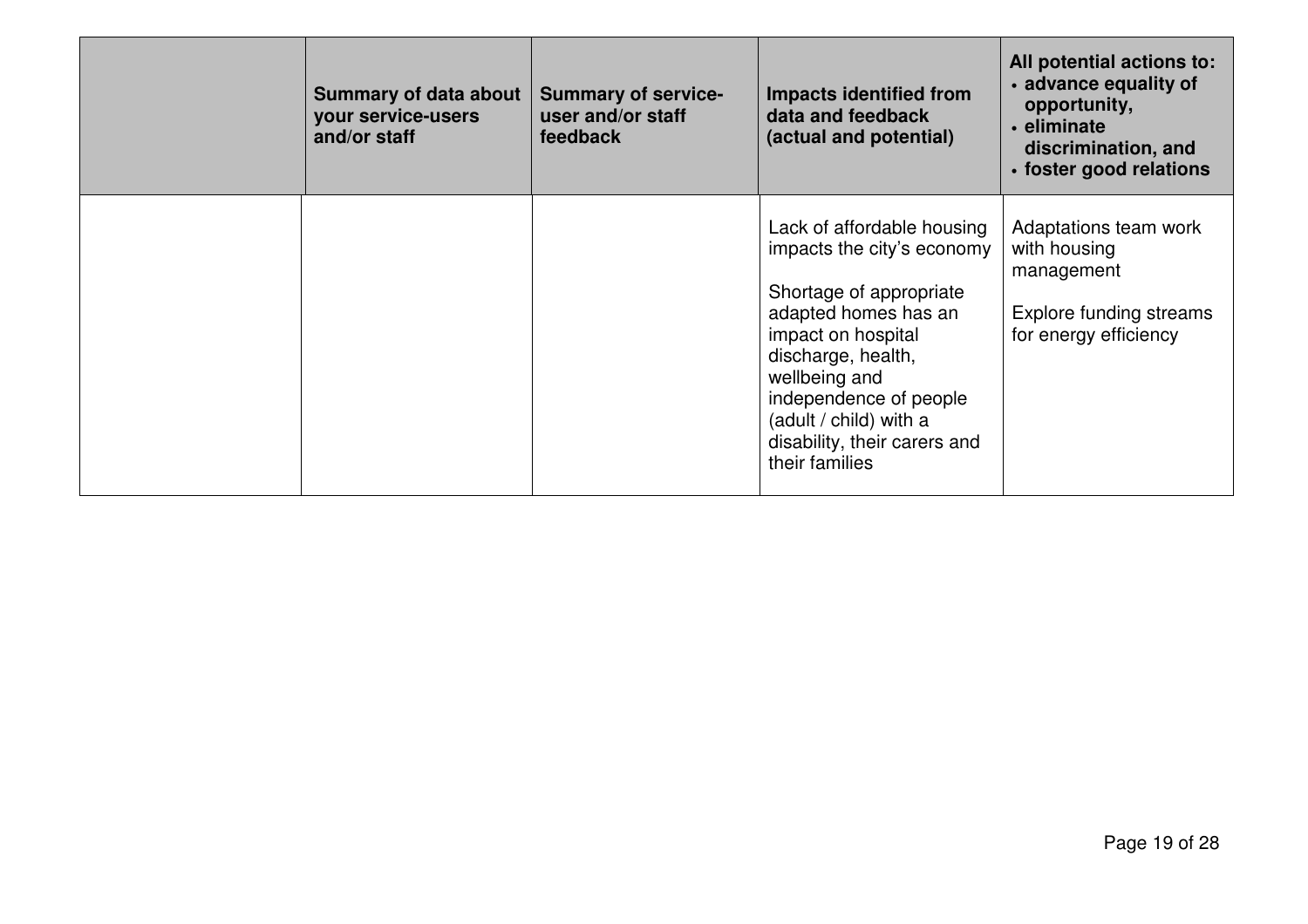| <b>Summary of data about</b><br>your service-users<br>and/or staff | <b>Summary of service-</b><br>user and/or staff<br>feedback | Impacts identified from<br>data and feedback<br>(actual and potential)                                                                                                                                                                                                         | All potential actions to:<br>• advance equality of<br>opportunity,<br>• eliminate<br>discrimination, and<br>• foster good relations |
|--------------------------------------------------------------------|-------------------------------------------------------------|--------------------------------------------------------------------------------------------------------------------------------------------------------------------------------------------------------------------------------------------------------------------------------|-------------------------------------------------------------------------------------------------------------------------------------|
|                                                                    |                                                             | Lack of affordable housing<br>impacts the city's economy<br>Shortage of appropriate<br>adapted homes has an<br>impact on hospital<br>discharge, health,<br>wellbeing and<br>independence of people<br>(adult / child) with a<br>disability, their carers and<br>their families | Adaptations team work<br>with housing<br>management<br>Explore funding streams<br>for energy efficiency                             |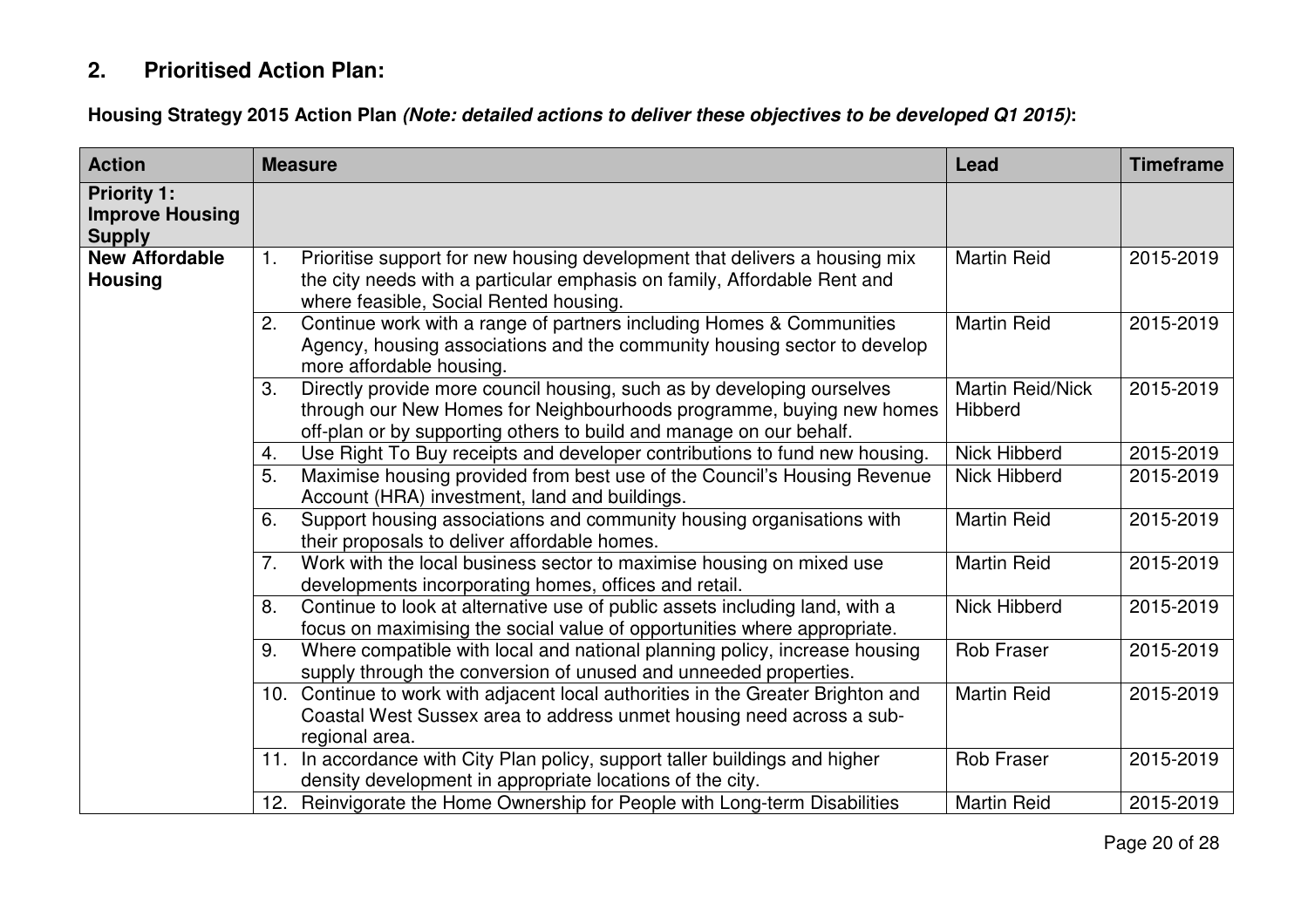# **2. Prioritised Action Plan:**

**Housing Strategy 2015 Action Plan (Note: detailed actions to deliver these objectives to be developed Q1 2015):** 

| <b>Action</b>                                                 |    | <b>Measure</b>                                                                                                                                                                                                        | Lead                               | <b>Timeframe</b> |
|---------------------------------------------------------------|----|-----------------------------------------------------------------------------------------------------------------------------------------------------------------------------------------------------------------------|------------------------------------|------------------|
| <b>Priority 1:</b><br><b>Improve Housing</b><br><b>Supply</b> |    |                                                                                                                                                                                                                       |                                    |                  |
| <b>New Affordable</b><br><b>Housing</b>                       | 1. | Prioritise support for new housing development that delivers a housing mix<br>the city needs with a particular emphasis on family, Affordable Rent and<br>where feasible, Social Rented housing.                      | <b>Martin Reid</b>                 | 2015-2019        |
|                                                               | 2. | Continue work with a range of partners including Homes & Communities<br>Agency, housing associations and the community housing sector to develop<br>more affordable housing.                                          | <b>Martin Reid</b>                 | 2015-2019        |
|                                                               | 3. | Directly provide more council housing, such as by developing ourselves<br>through our New Homes for Neighbourhoods programme, buying new homes<br>off-plan or by supporting others to build and manage on our behalf. | <b>Martin Reid/Nick</b><br>Hibberd | 2015-2019        |
|                                                               | 4. | Use Right To Buy receipts and developer contributions to fund new housing.                                                                                                                                            | <b>Nick Hibberd</b>                | 2015-2019        |
|                                                               | 5. | Maximise housing provided from best use of the Council's Housing Revenue<br>Account (HRA) investment, land and buildings.                                                                                             | <b>Nick Hibberd</b>                | 2015-2019        |
|                                                               | 6. | Support housing associations and community housing organisations with<br>their proposals to deliver affordable homes.                                                                                                 | <b>Martin Reid</b>                 | 2015-2019        |
|                                                               | 7. | Work with the local business sector to maximise housing on mixed use<br>developments incorporating homes, offices and retail.                                                                                         | <b>Martin Reid</b>                 | 2015-2019        |
|                                                               | 8. | Continue to look at alternative use of public assets including land, with a<br>focus on maximising the social value of opportunities where appropriate.                                                               | <b>Nick Hibberd</b>                | 2015-2019        |
|                                                               | 9. | Where compatible with local and national planning policy, increase housing<br>supply through the conversion of unused and unneeded properties.                                                                        | <b>Rob Fraser</b>                  | 2015-2019        |
|                                                               |    | 10. Continue to work with adjacent local authorities in the Greater Brighton and<br>Coastal West Sussex area to address unmet housing need across a sub-<br>regional area.                                            | <b>Martin Reid</b>                 | 2015-2019        |
|                                                               |    | 11. In accordance with City Plan policy, support taller buildings and higher<br>density development in appropriate locations of the city.                                                                             | <b>Rob Fraser</b>                  | 2015-2019        |
|                                                               |    | 12. Reinvigorate the Home Ownership for People with Long-term Disabilities                                                                                                                                            | <b>Martin Reid</b>                 | 2015-2019        |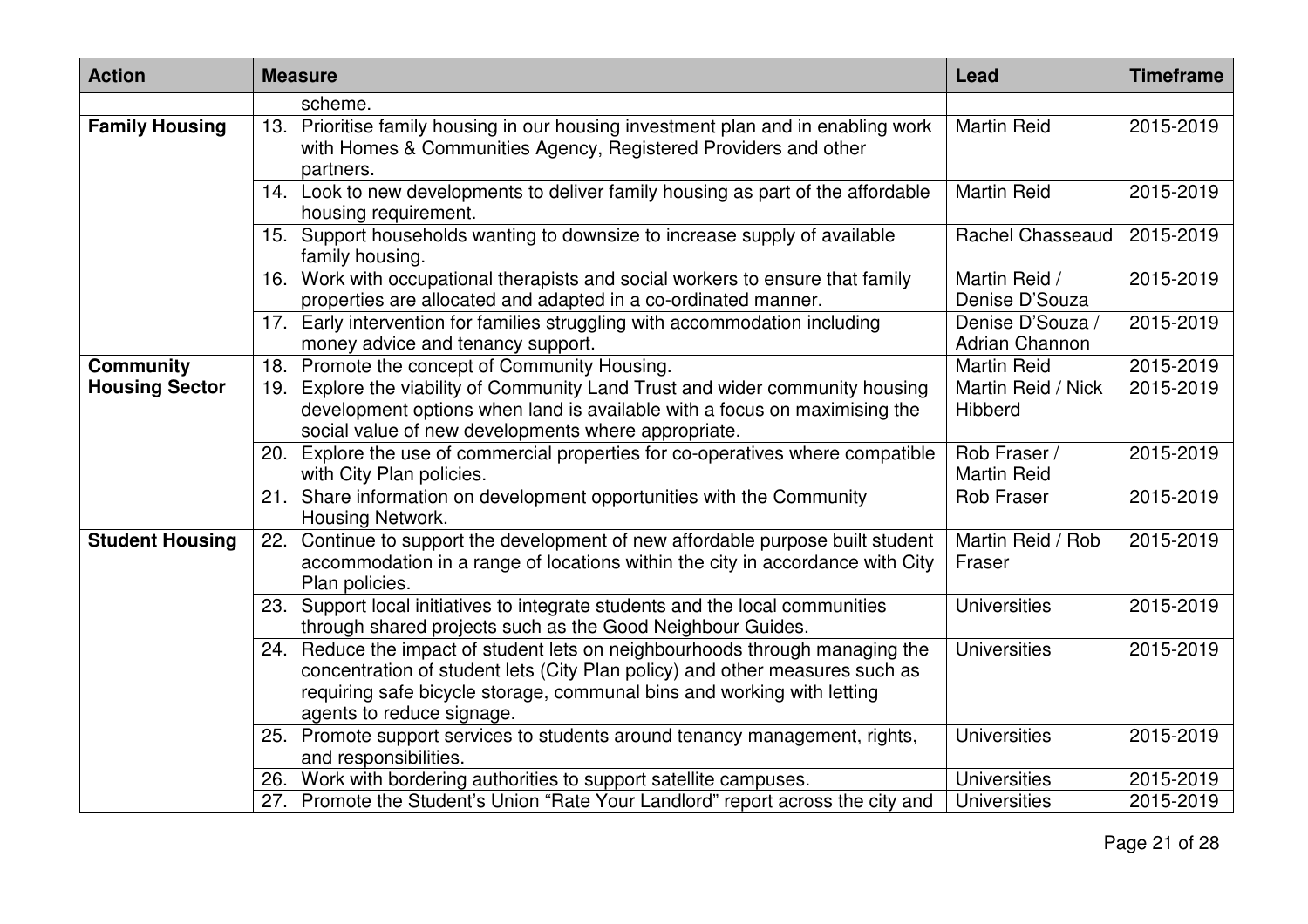| <b>Action</b>          | <b>Measure</b>                                                                                                                                                                                                                                                     | Lead                                      | <b>Timeframe</b> |
|------------------------|--------------------------------------------------------------------------------------------------------------------------------------------------------------------------------------------------------------------------------------------------------------------|-------------------------------------------|------------------|
|                        | scheme.                                                                                                                                                                                                                                                            |                                           |                  |
| <b>Family Housing</b>  | 13. Prioritise family housing in our housing investment plan and in enabling work<br>with Homes & Communities Agency, Registered Providers and other<br>partners.                                                                                                  | <b>Martin Reid</b>                        | 2015-2019        |
|                        | 14. Look to new developments to deliver family housing as part of the affordable<br>housing requirement.                                                                                                                                                           | <b>Martin Reid</b>                        | 2015-2019        |
|                        | 15. Support households wanting to downsize to increase supply of available<br>family housing.                                                                                                                                                                      | Rachel Chasseaud                          | 2015-2019        |
|                        | 16. Work with occupational therapists and social workers to ensure that family<br>properties are allocated and adapted in a co-ordinated manner.                                                                                                                   | Martin Reid /<br>Denise D'Souza           | 2015-2019        |
|                        | 17. Early intervention for families struggling with accommodation including<br>money advice and tenancy support.                                                                                                                                                   | Denise D'Souza /<br><b>Adrian Channon</b> | 2015-2019        |
| <b>Community</b>       | 18. Promote the concept of Community Housing.                                                                                                                                                                                                                      | <b>Martin Reid</b>                        | 2015-2019        |
| <b>Housing Sector</b>  | Explore the viability of Community Land Trust and wider community housing<br>19.<br>development options when land is available with a focus on maximising the<br>social value of new developments where appropriate.                                               | Martin Reid / Nick<br>Hibberd             | 2015-2019        |
|                        | 20. Explore the use of commercial properties for co-operatives where compatible<br>with City Plan policies.                                                                                                                                                        | Rob Fraser /<br><b>Martin Reid</b>        | 2015-2019        |
|                        | 21. Share information on development opportunities with the Community<br>Housing Network.                                                                                                                                                                          | <b>Rob Fraser</b>                         | 2015-2019        |
| <b>Student Housing</b> | 22. Continue to support the development of new affordable purpose built student<br>accommodation in a range of locations within the city in accordance with City<br>Plan policies.                                                                                 | Martin Reid / Rob<br>Fraser               | 2015-2019        |
|                        | 23. Support local initiatives to integrate students and the local communities<br>through shared projects such as the Good Neighbour Guides.                                                                                                                        | <b>Universities</b>                       | 2015-2019        |
|                        | 24. Reduce the impact of student lets on neighbourhoods through managing the<br>concentration of student lets (City Plan policy) and other measures such as<br>requiring safe bicycle storage, communal bins and working with letting<br>agents to reduce signage. | <b>Universities</b>                       | 2015-2019        |
|                        | 25. Promote support services to students around tenancy management, rights,<br>and responsibilities.                                                                                                                                                               | <b>Universities</b>                       | 2015-2019        |
|                        | 26. Work with bordering authorities to support satellite campuses.                                                                                                                                                                                                 | <b>Universities</b>                       | 2015-2019        |
|                        | 27. Promote the Student's Union "Rate Your Landlord" report across the city and                                                                                                                                                                                    | <b>Universities</b>                       | 2015-2019        |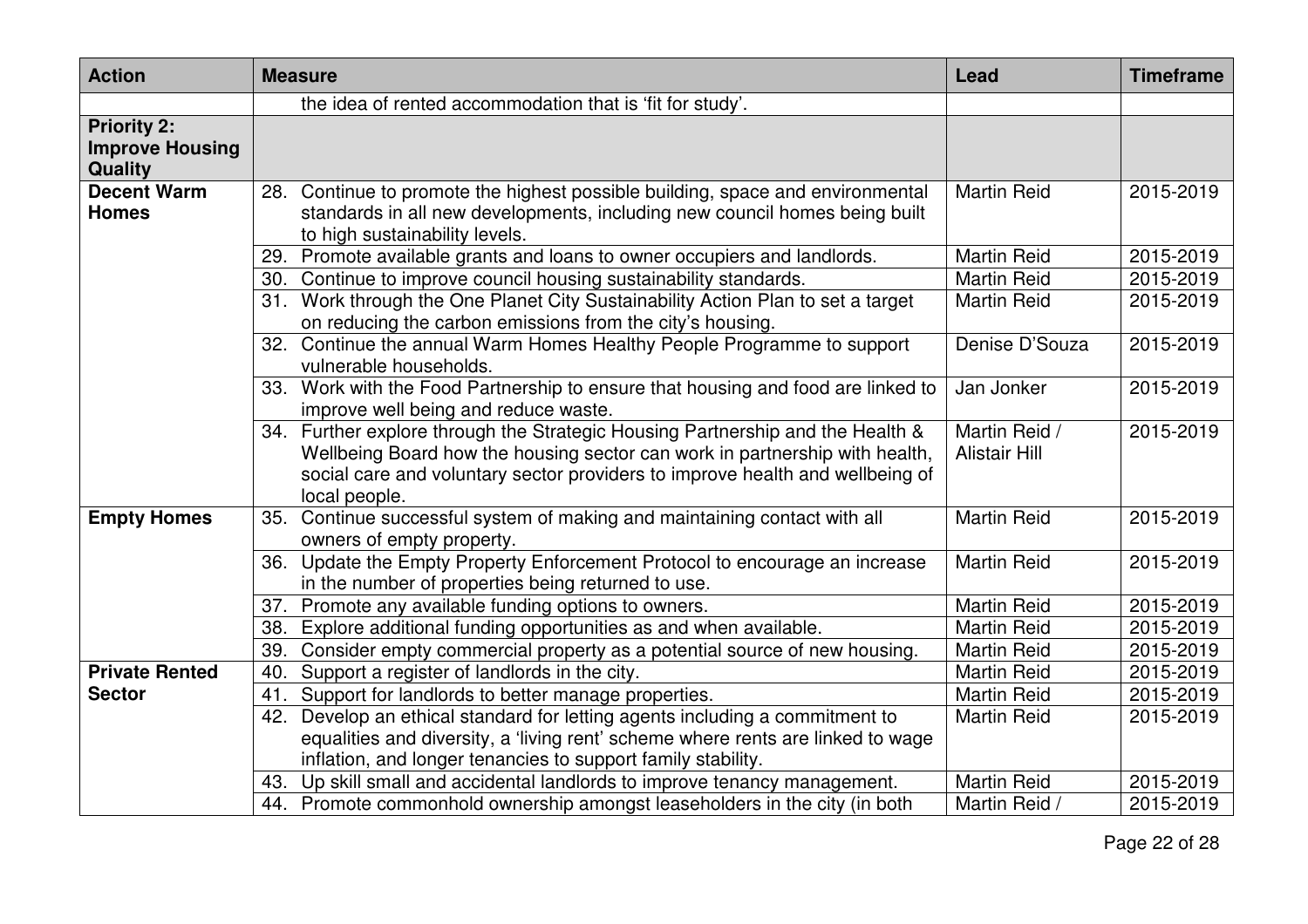| <b>Action</b>                                                  | <b>Measure</b>                                                                                                                                                                                                                                                  | Lead                                  | <b>Timeframe</b> |
|----------------------------------------------------------------|-----------------------------------------------------------------------------------------------------------------------------------------------------------------------------------------------------------------------------------------------------------------|---------------------------------------|------------------|
|                                                                | the idea of rented accommodation that is 'fit for study'.                                                                                                                                                                                                       |                                       |                  |
| <b>Priority 2:</b><br><b>Improve Housing</b><br><b>Quality</b> |                                                                                                                                                                                                                                                                 |                                       |                  |
| <b>Decent Warm</b><br><b>Homes</b>                             | 28. Continue to promote the highest possible building, space and environmental<br>standards in all new developments, including new council homes being built<br>to high sustainability levels.                                                                  | <b>Martin Reid</b>                    | 2015-2019        |
|                                                                | Promote available grants and loans to owner occupiers and landlords.<br>29.                                                                                                                                                                                     | <b>Martin Reid</b>                    | 2015-2019        |
|                                                                | 30. Continue to improve council housing sustainability standards.                                                                                                                                                                                               | <b>Martin Reid</b>                    | 2015-2019        |
|                                                                | 31. Work through the One Planet City Sustainability Action Plan to set a target<br>on reducing the carbon emissions from the city's housing.                                                                                                                    | <b>Martin Reid</b>                    | 2015-2019        |
|                                                                | 32. Continue the annual Warm Homes Healthy People Programme to support<br>vulnerable households.                                                                                                                                                                | Denise D'Souza                        | 2015-2019        |
|                                                                | 33. Work with the Food Partnership to ensure that housing and food are linked to<br>improve well being and reduce waste.                                                                                                                                        | Jan Jonker                            | 2015-2019        |
|                                                                | 34. Further explore through the Strategic Housing Partnership and the Health &<br>Wellbeing Board how the housing sector can work in partnership with health,<br>social care and voluntary sector providers to improve health and wellbeing of<br>local people. | Martin Reid /<br><b>Alistair Hill</b> | 2015-2019        |
| <b>Empty Homes</b>                                             | 35. Continue successful system of making and maintaining contact with all<br>owners of empty property.                                                                                                                                                          | <b>Martin Reid</b>                    | 2015-2019        |
|                                                                | 36. Update the Empty Property Enforcement Protocol to encourage an increase<br>in the number of properties being returned to use.                                                                                                                               | <b>Martin Reid</b>                    | 2015-2019        |
|                                                                | Promote any available funding options to owners.<br>37.                                                                                                                                                                                                         | <b>Martin Reid</b>                    | 2015-2019        |
|                                                                | Explore additional funding opportunities as and when available.<br>38.                                                                                                                                                                                          | <b>Martin Reid</b>                    | 2015-2019        |
|                                                                | Consider empty commercial property as a potential source of new housing.<br>39.                                                                                                                                                                                 | <b>Martin Reid</b>                    | 2015-2019        |
| <b>Private Rented</b>                                          | Support a register of landlords in the city.<br>40.                                                                                                                                                                                                             | Martin Reid                           | 2015-2019        |
| <b>Sector</b>                                                  | Support for landlords to better manage properties.<br>41.                                                                                                                                                                                                       | <b>Martin Reid</b>                    | 2015-2019        |
|                                                                | 42. Develop an ethical standard for letting agents including a commitment to                                                                                                                                                                                    | <b>Martin Reid</b>                    | 2015-2019        |
|                                                                | equalities and diversity, a 'living rent' scheme where rents are linked to wage                                                                                                                                                                                 |                                       |                  |
|                                                                | inflation, and longer tenancies to support family stability.                                                                                                                                                                                                    |                                       |                  |
|                                                                | Up skill small and accidental landlords to improve tenancy management.<br>43.                                                                                                                                                                                   | <b>Martin Reid</b>                    | 2015-2019        |
|                                                                | 44. Promote commonhold ownership amongst leaseholders in the city (in both                                                                                                                                                                                      | Martin Reid /                         | 2015-2019        |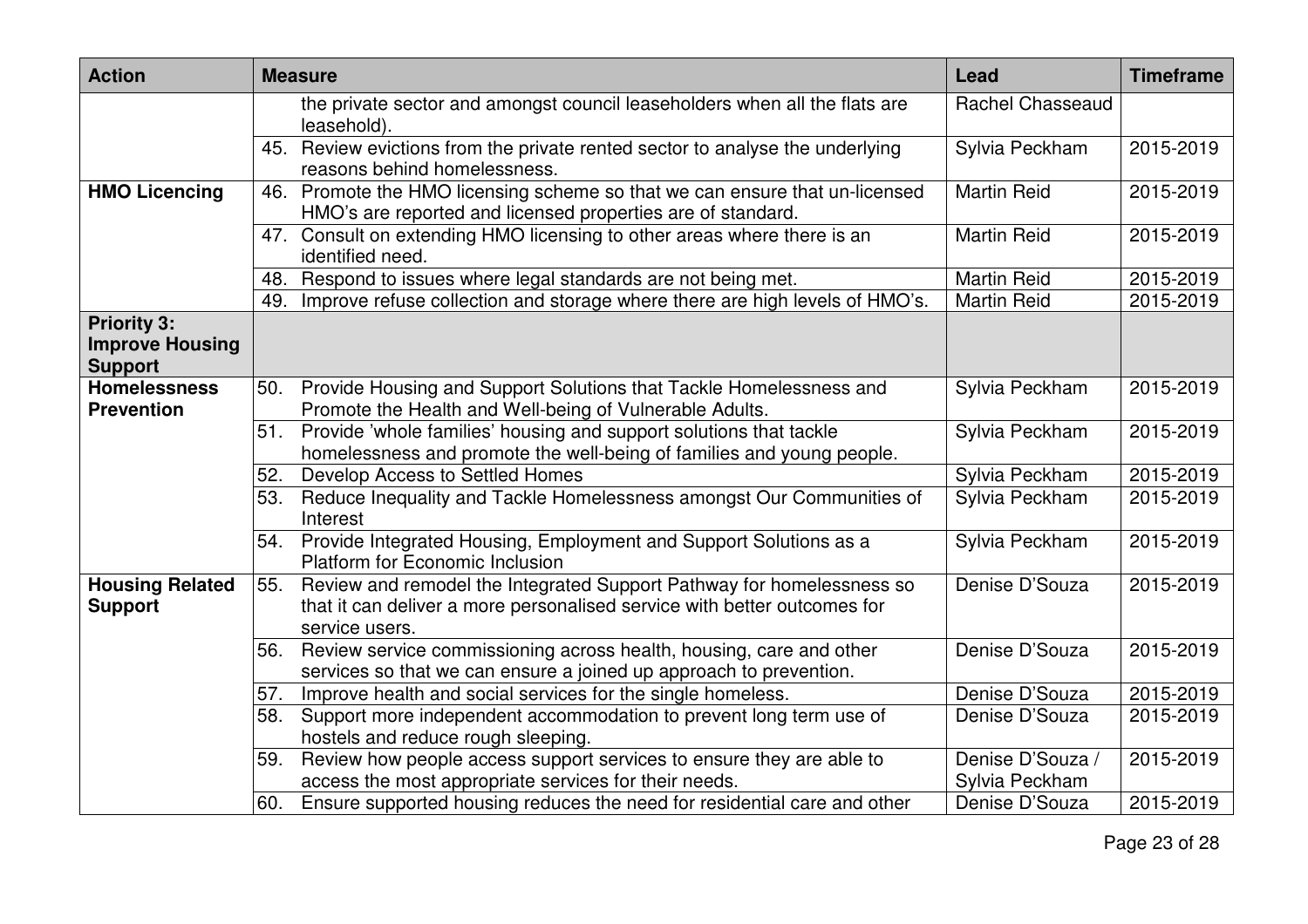| <b>Action</b>                                                  |     | <b>Measure</b>                                                                                                                                                      | Lead                               | <b>Timeframe</b> |
|----------------------------------------------------------------|-----|---------------------------------------------------------------------------------------------------------------------------------------------------------------------|------------------------------------|------------------|
|                                                                |     | the private sector and amongst council leaseholders when all the flats are<br>leasehold).                                                                           | <b>Rachel Chasseaud</b>            |                  |
|                                                                | 45. | Review evictions from the private rented sector to analyse the underlying<br>reasons behind homelessness.                                                           | Sylvia Peckham                     | 2015-2019        |
| <b>HMO Licencing</b>                                           | 46. | Promote the HMO licensing scheme so that we can ensure that un-licensed<br>HMO's are reported and licensed properties are of standard.                              | <b>Martin Reid</b>                 | 2015-2019        |
|                                                                |     | 47. Consult on extending HMO licensing to other areas where there is an<br>identified need.                                                                         | <b>Martin Reid</b>                 | 2015-2019        |
|                                                                | 48. | Respond to issues where legal standards are not being met.                                                                                                          | <b>Martin Reid</b>                 | 2015-2019        |
|                                                                | 49. | Improve refuse collection and storage where there are high levels of HMO's.                                                                                         | <b>Martin Reid</b>                 | 2015-2019        |
| <b>Priority 3:</b><br><b>Improve Housing</b><br><b>Support</b> |     |                                                                                                                                                                     |                                    |                  |
| <b>Homelessness</b><br><b>Prevention</b>                       | 50. | Provide Housing and Support Solutions that Tackle Homelessness and<br>Promote the Health and Well-being of Vulnerable Adults.                                       | Sylvia Peckham                     | 2015-2019        |
|                                                                | 51. | Provide 'whole families' housing and support solutions that tackle<br>homelessness and promote the well-being of families and young people.                         | Sylvia Peckham                     | 2015-2019        |
|                                                                | 52. | Develop Access to Settled Homes                                                                                                                                     | Sylvia Peckham                     | 2015-2019        |
|                                                                | 53. | Reduce Inequality and Tackle Homelessness amongst Our Communities of<br>Interest                                                                                    | Sylvia Peckham                     | 2015-2019        |
|                                                                | 54. | Provide Integrated Housing, Employment and Support Solutions as a<br><b>Platform for Economic Inclusion</b>                                                         | Sylvia Peckham                     | 2015-2019        |
| <b>Housing Related</b><br><b>Support</b>                       | 55. | Review and remodel the Integrated Support Pathway for homelessness so<br>that it can deliver a more personalised service with better outcomes for<br>service users. | Denise D'Souza                     | 2015-2019        |
|                                                                | 56. | Review service commissioning across health, housing, care and other<br>services so that we can ensure a joined up approach to prevention.                           | Denise D'Souza                     | 2015-2019        |
|                                                                | 57. | Improve health and social services for the single homeless.                                                                                                         | Denise D'Souza                     | 2015-2019        |
|                                                                | 58. | Support more independent accommodation to prevent long term use of<br>hostels and reduce rough sleeping.                                                            | Denise D'Souza                     | 2015-2019        |
|                                                                | 59. | Review how people access support services to ensure they are able to<br>access the most appropriate services for their needs.                                       | Denise D'Souza /<br>Sylvia Peckham | 2015-2019        |
|                                                                | 60. | Ensure supported housing reduces the need for residential care and other                                                                                            | Denise D'Souza                     | 2015-2019        |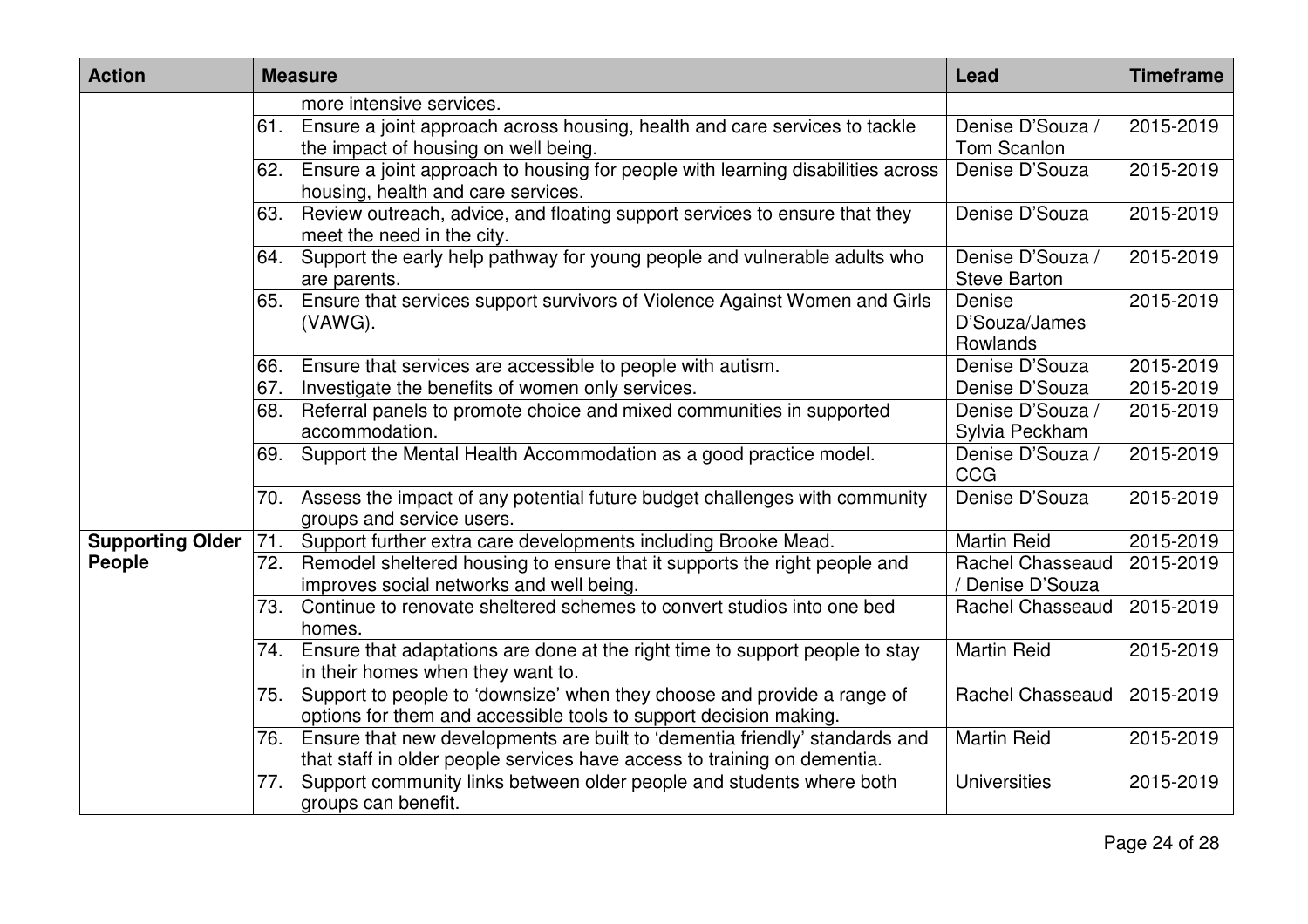| <b>Action</b>           |     | <b>Measure</b>                                                                                                                                          | Lead                                    | <b>Timeframe</b> |
|-------------------------|-----|---------------------------------------------------------------------------------------------------------------------------------------------------------|-----------------------------------------|------------------|
|                         |     | more intensive services.                                                                                                                                |                                         |                  |
|                         | 61. | Ensure a joint approach across housing, health and care services to tackle<br>the impact of housing on well being.                                      | Denise D'Souza /<br>Tom Scanlon         | 2015-2019        |
|                         | 62. | Ensure a joint approach to housing for people with learning disabilities across<br>housing, health and care services.                                   | Denise D'Souza                          | 2015-2019        |
|                         | 63. | Review outreach, advice, and floating support services to ensure that they<br>meet the need in the city.                                                | Denise D'Souza                          | 2015-2019        |
|                         | 64. | Support the early help pathway for young people and vulnerable adults who<br>are parents.                                                               | Denise D'Souza /<br><b>Steve Barton</b> | 2015-2019        |
|                         | 65. | Ensure that services support survivors of Violence Against Women and Girls<br>(VAWG).                                                                   | Denise<br>D'Souza/James<br>Rowlands     | 2015-2019        |
|                         | 66. | Ensure that services are accessible to people with autism.                                                                                              | Denise D'Souza                          | 2015-2019        |
|                         | 67. | Investigate the benefits of women only services.                                                                                                        | Denise D'Souza                          | 2015-2019        |
|                         | 68. | Referral panels to promote choice and mixed communities in supported<br>accommodation.                                                                  | Denise D'Souza /<br>Sylvia Peckham      | 2015-2019        |
|                         | 69. | Support the Mental Health Accommodation as a good practice model.                                                                                       | Denise D'Souza /<br><b>CCG</b>          | 2015-2019        |
|                         |     | 70. Assess the impact of any potential future budget challenges with community<br>groups and service users.                                             | Denise D'Souza                          | 2015-2019        |
| <b>Supporting Older</b> | 71. | Support further extra care developments including Brooke Mead.                                                                                          | <b>Martin Reid</b>                      | 2015-2019        |
| People                  | 72. | Remodel sheltered housing to ensure that it supports the right people and<br>improves social networks and well being.                                   | Rachel Chasseaud<br>Denise D'Souza      | 2015-2019        |
|                         | 73. | Continue to renovate sheltered schemes to convert studios into one bed<br>homes.                                                                        | Rachel Chasseaud                        | 2015-2019        |
|                         | 74. | Ensure that adaptations are done at the right time to support people to stay<br>in their homes when they want to.                                       | <b>Martin Reid</b>                      | 2015-2019        |
|                         | 75. | Support to people to 'downsize' when they choose and provide a range of<br>options for them and accessible tools to support decision making.            | <b>Rachel Chasseaud</b>                 | 2015-2019        |
|                         | 76. | Ensure that new developments are built to 'dementia friendly' standards and<br>that staff in older people services have access to training on dementia. | <b>Martin Reid</b>                      | 2015-2019        |
|                         |     | 77. Support community links between older people and students where both<br>groups can benefit.                                                         | <b>Universities</b>                     | 2015-2019        |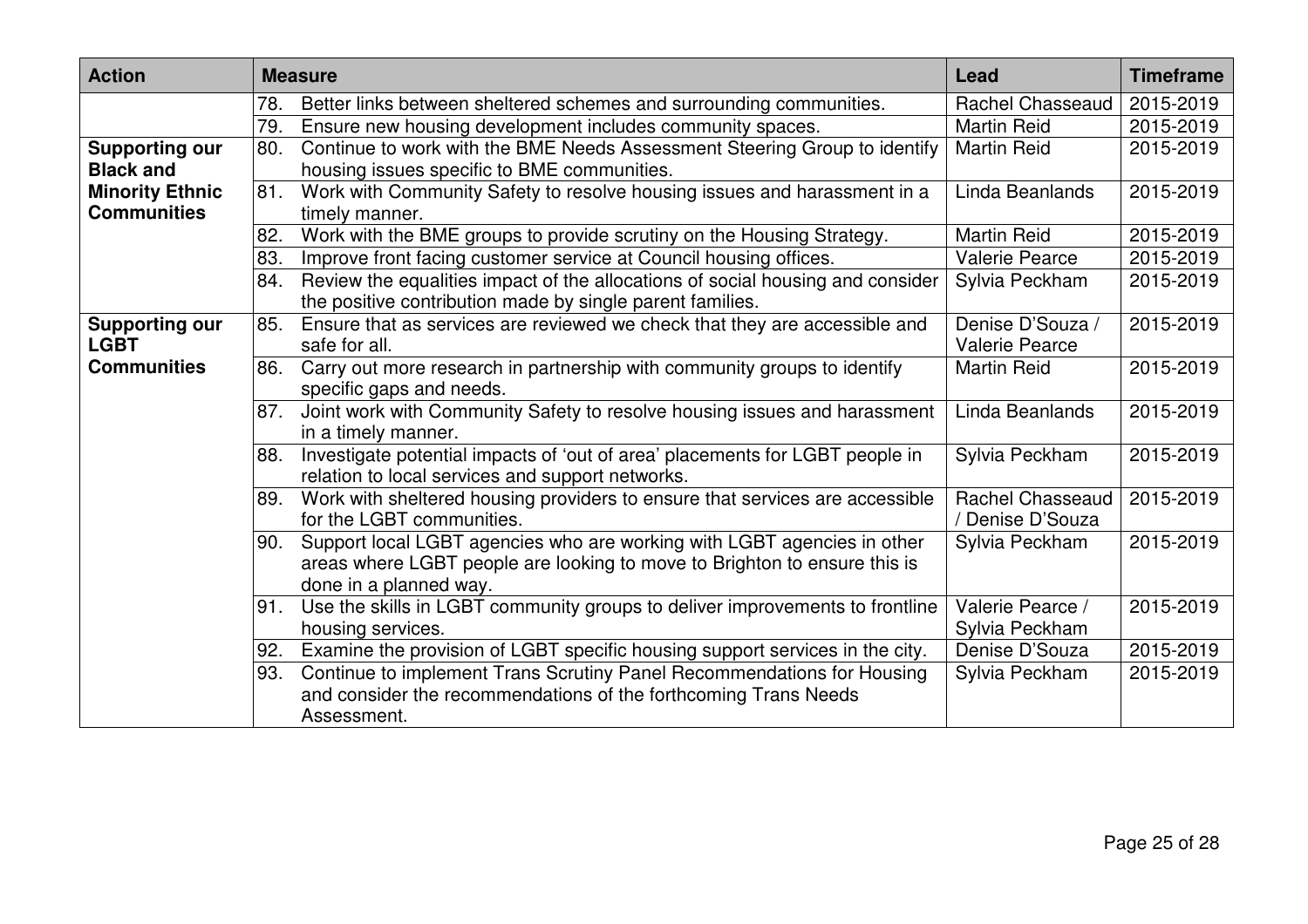| <b>Action</b>                        |     | <b>Measure</b>                                                                                                                              | Lead                                        | <b>Timeframe</b> |
|--------------------------------------|-----|---------------------------------------------------------------------------------------------------------------------------------------------|---------------------------------------------|------------------|
|                                      | 78. | Better links between sheltered schemes and surrounding communities.                                                                         | <b>Rachel Chasseaud</b>                     | 2015-2019        |
|                                      | 79. | Ensure new housing development includes community spaces.                                                                                   | <b>Martin Reid</b>                          | 2015-2019        |
| <b>Supporting our</b>                | 80. | Continue to work with the BME Needs Assessment Steering Group to identify                                                                   | <b>Martin Reid</b>                          | 2015-2019        |
| <b>Black and</b>                     |     | housing issues specific to BME communities.                                                                                                 |                                             |                  |
| <b>Minority Ethnic</b>               | 81. | Work with Community Safety to resolve housing issues and harassment in a                                                                    | Linda Beanlands                             | 2015-2019        |
| <b>Communities</b>                   |     | timely manner.                                                                                                                              |                                             |                  |
|                                      | 82. | Work with the BME groups to provide scrutiny on the Housing Strategy.                                                                       | <b>Martin Reid</b>                          | 2015-2019        |
|                                      | 83. | Improve front facing customer service at Council housing offices.                                                                           | <b>Valerie Pearce</b>                       | 2015-2019        |
|                                      | 84. | Review the equalities impact of the allocations of social housing and consider<br>the positive contribution made by single parent families. | Sylvia Peckham                              | 2015-2019        |
| <b>Supporting our</b><br><b>LGBT</b> | 85. | Ensure that as services are reviewed we check that they are accessible and<br>safe for all.                                                 | Denise D'Souza /<br><b>Valerie Pearce</b>   | 2015-2019        |
| <b>Communities</b>                   | 86. | Carry out more research in partnership with community groups to identify                                                                    | <b>Martin Reid</b>                          | 2015-2019        |
|                                      |     | specific gaps and needs.                                                                                                                    |                                             |                  |
|                                      | 87. | Joint work with Community Safety to resolve housing issues and harassment                                                                   | Linda Beanlands                             | 2015-2019        |
|                                      |     | in a timely manner.                                                                                                                         |                                             |                  |
|                                      | 88. | Investigate potential impacts of 'out of area' placements for LGBT people in                                                                | Sylvia Peckham                              | 2015-2019        |
|                                      |     | relation to local services and support networks.                                                                                            |                                             |                  |
|                                      | 89. | Work with sheltered housing providers to ensure that services are accessible<br>for the LGBT communities.                                   | <b>Rachel Chasseaud</b><br>/ Denise D'Souza | 2015-2019        |
|                                      | 90. | Support local LGBT agencies who are working with LGBT agencies in other                                                                     | Sylvia Peckham                              | 2015-2019        |
|                                      |     | areas where LGBT people are looking to move to Brighton to ensure this is                                                                   |                                             |                  |
|                                      |     | done in a planned way.                                                                                                                      |                                             |                  |
|                                      | 91. | Use the skills in LGBT community groups to deliver improvements to frontline                                                                | Valerie Pearce /                            | 2015-2019        |
|                                      |     | housing services.                                                                                                                           | Sylvia Peckham                              |                  |
|                                      | 92. | Examine the provision of LGBT specific housing support services in the city.                                                                | Denise D'Souza                              | 2015-2019        |
|                                      | 93. | Continue to implement Trans Scrutiny Panel Recommendations for Housing                                                                      | Sylvia Peckham                              | 2015-2019        |
|                                      |     | and consider the recommendations of the forthcoming Trans Needs                                                                             |                                             |                  |
|                                      |     | Assessment.                                                                                                                                 |                                             |                  |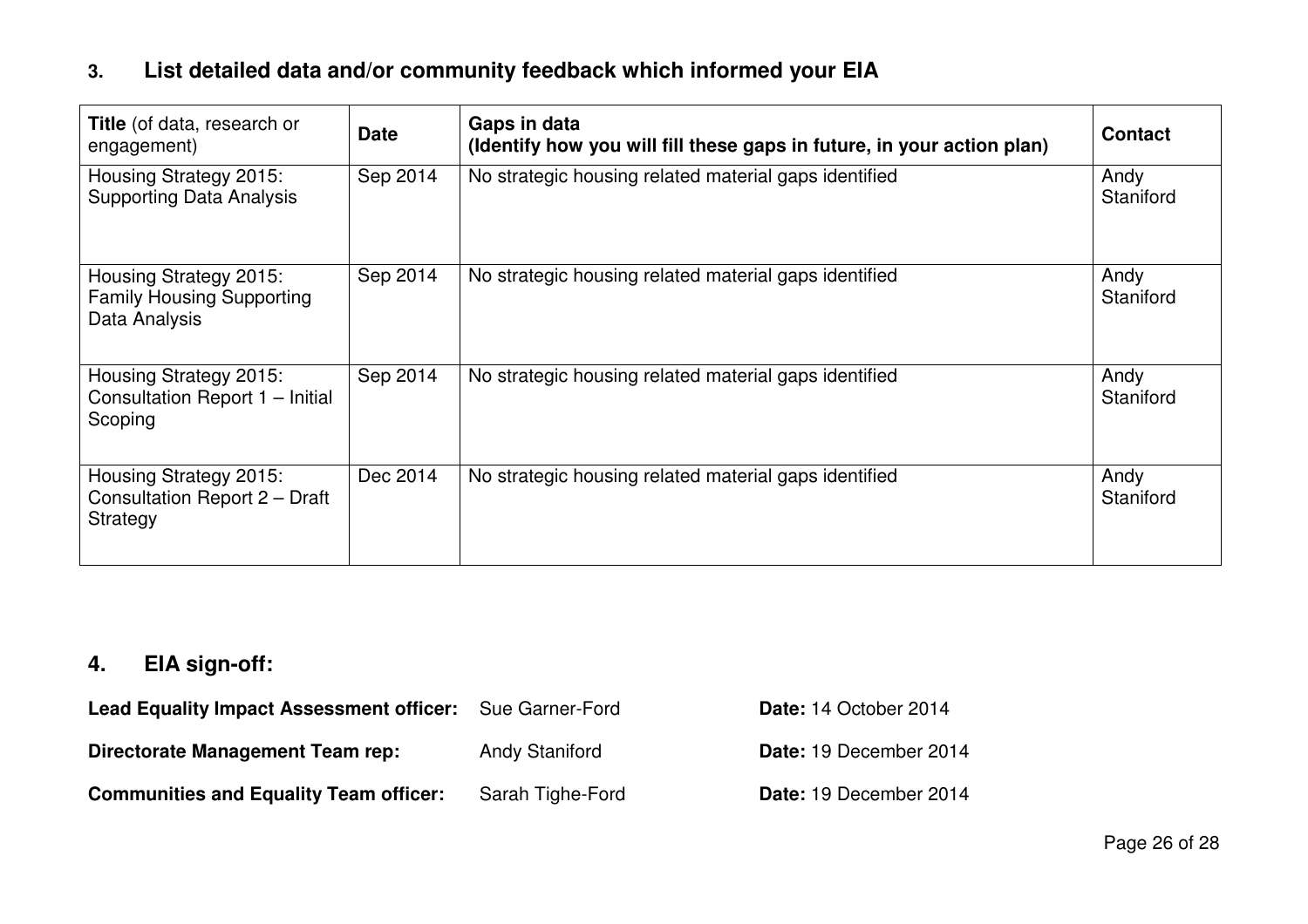### **3. List detailed data and/or community feedback which informed your EIA**

| <b>Title</b> (of data, research or<br>engagement)                           | <b>Date</b> | Gaps in data<br>(Identify how you will fill these gaps in future, in your action plan) | <b>Contact</b>    |
|-----------------------------------------------------------------------------|-------------|----------------------------------------------------------------------------------------|-------------------|
| Housing Strategy 2015:<br><b>Supporting Data Analysis</b>                   | Sep 2014    | No strategic housing related material gaps identified                                  | Andy<br>Staniford |
| Housing Strategy 2015:<br><b>Family Housing Supporting</b><br>Data Analysis | Sep 2014    | No strategic housing related material gaps identified                                  | Andy<br>Staniford |
| Housing Strategy 2015:<br>Consultation Report 1 - Initial<br>Scoping        | Sep 2014    | No strategic housing related material gaps identified                                  | Andy<br>Staniford |
| Housing Strategy 2015:<br>Consultation Report 2 - Draft<br>Strategy         | Dec 2014    | No strategic housing related material gaps identified                                  | Andy<br>Staniford |

## **4. EIA sign-off:**

| <b>Lead Equality Impact Assessment officer:</b> Sue Garner-Ford |                       | Date: 14 October 2014  |
|-----------------------------------------------------------------|-----------------------|------------------------|
| Directorate Management Team rep:                                | <b>Andy Staniford</b> | Date: 19 December 2014 |
| <b>Communities and Equality Team officer:</b>                   | Sarah Tighe-Ford      | Date: 19 December 2014 |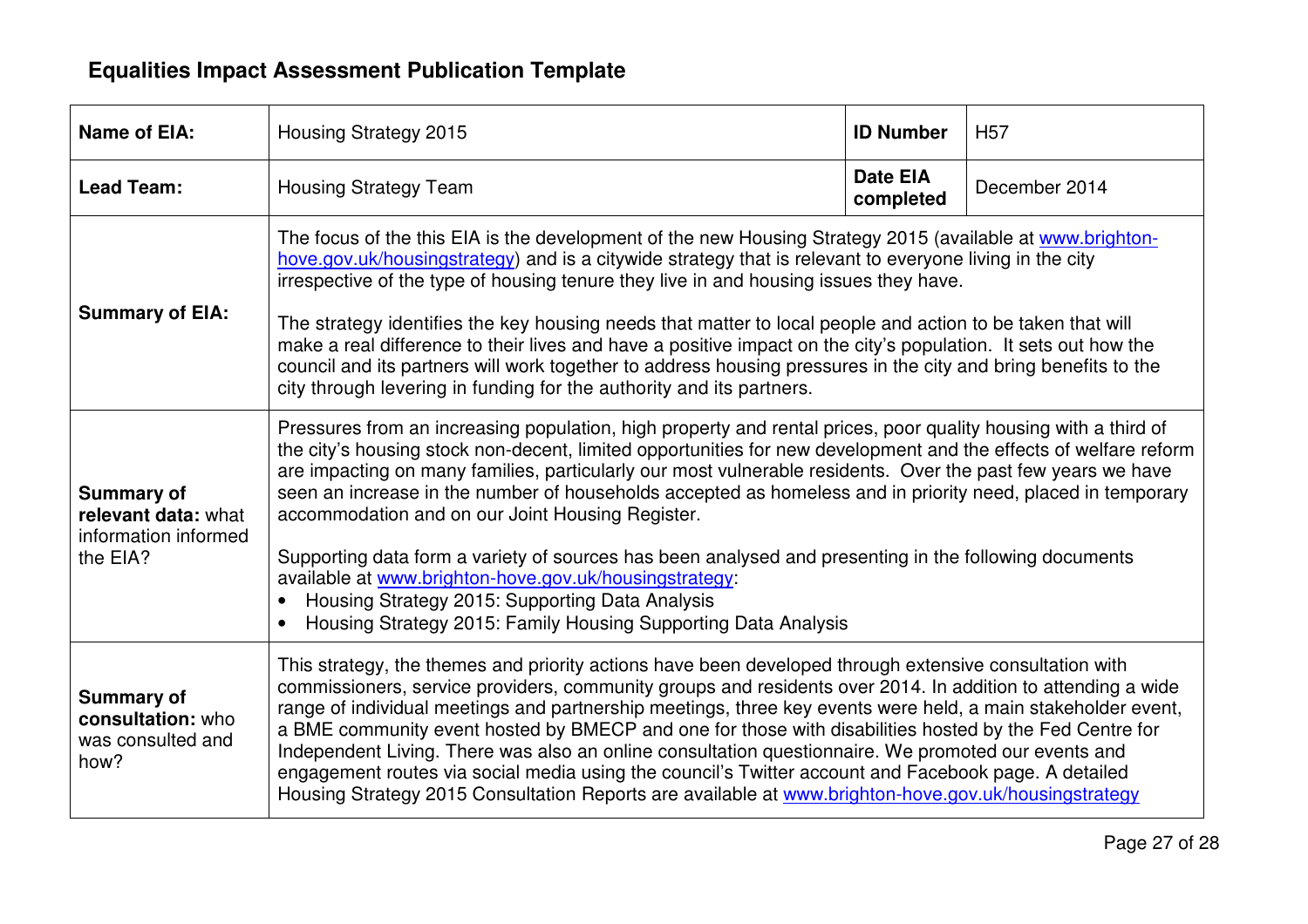#### **Equalities Impact Assessment Publication Template**

| <b>Name of EIA:</b>                                                          | Housing Strategy 2015                                                                                                                                                                                                                                                                                                                                                                                                                                                                                                                                                                                                                                                                                                                                                  | <b>ID Number</b>             | <b>H57</b>    |  |
|------------------------------------------------------------------------------|------------------------------------------------------------------------------------------------------------------------------------------------------------------------------------------------------------------------------------------------------------------------------------------------------------------------------------------------------------------------------------------------------------------------------------------------------------------------------------------------------------------------------------------------------------------------------------------------------------------------------------------------------------------------------------------------------------------------------------------------------------------------|------------------------------|---------------|--|
| <b>Lead Team:</b>                                                            | <b>Housing Strategy Team</b>                                                                                                                                                                                                                                                                                                                                                                                                                                                                                                                                                                                                                                                                                                                                           | <b>Date EIA</b><br>completed | December 2014 |  |
| <b>Summary of EIA:</b>                                                       | The focus of the this EIA is the development of the new Housing Strategy 2015 (available at www.brighton-<br>hove.gov.uk/housingstrategy) and is a citywide strategy that is relevant to everyone living in the city<br>irrespective of the type of housing tenure they live in and housing issues they have.                                                                                                                                                                                                                                                                                                                                                                                                                                                          |                              |               |  |
|                                                                              | The strategy identifies the key housing needs that matter to local people and action to be taken that will<br>make a real difference to their lives and have a positive impact on the city's population. It sets out how the<br>council and its partners will work together to address housing pressures in the city and bring benefits to the<br>city through levering in funding for the authority and its partners.                                                                                                                                                                                                                                                                                                                                                 |                              |               |  |
| <b>Summary of</b><br>relevant data: what<br>information informed<br>the EIA? | Pressures from an increasing population, high property and rental prices, poor quality housing with a third of<br>the city's housing stock non-decent, limited opportunities for new development and the effects of welfare reform<br>are impacting on many families, particularly our most vulnerable residents. Over the past few years we have<br>seen an increase in the number of households accepted as homeless and in priority need, placed in temporary<br>accommodation and on our Joint Housing Register.<br>Supporting data form a variety of sources has been analysed and presenting in the following documents                                                                                                                                          |                              |               |  |
|                                                                              | available at www.brighton-hove.gov.uk/housingstrategy:<br>Housing Strategy 2015: Supporting Data Analysis<br>Housing Strategy 2015: Family Housing Supporting Data Analysis                                                                                                                                                                                                                                                                                                                                                                                                                                                                                                                                                                                            |                              |               |  |
| <b>Summary of</b><br>consultation: who<br>was consulted and<br>how?          | This strategy, the themes and priority actions have been developed through extensive consultation with<br>commissioners, service providers, community groups and residents over 2014. In addition to attending a wide<br>range of individual meetings and partnership meetings, three key events were held, a main stakeholder event,<br>a BME community event hosted by BMECP and one for those with disabilities hosted by the Fed Centre for<br>Independent Living. There was also an online consultation questionnaire. We promoted our events and<br>engagement routes via social media using the council's Twitter account and Facebook page. A detailed<br>Housing Strategy 2015 Consultation Reports are available at www.brighton-hove.gov.uk/housingstrategy |                              |               |  |